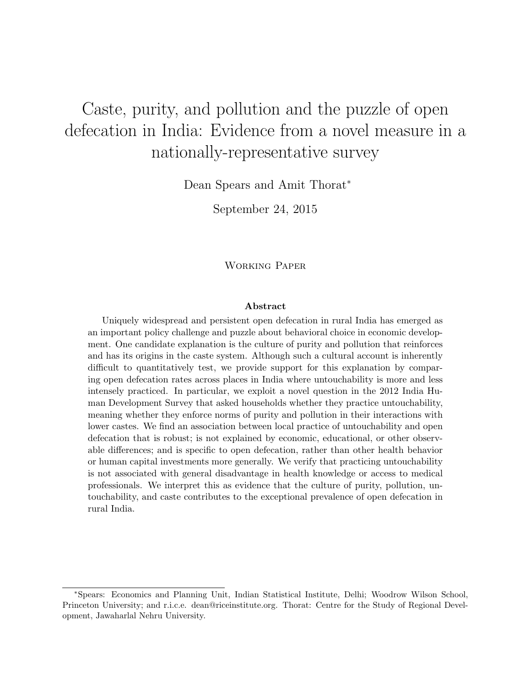# Caste, purity, and pollution and the puzzle of open defecation in India: Evidence from a novel measure in a nationally-representative survey

Dean Spears and Amit Thorat<sup>∗</sup>

September 24, 2015

Working Paper

#### Abstract

Uniquely widespread and persistent open defecation in rural India has emerged as an important policy challenge and puzzle about behavioral choice in economic development. One candidate explanation is the culture of purity and pollution that reinforces and has its origins in the caste system. Although such a cultural account is inherently difficult to quantitatively test, we provide support for this explanation by comparing open defecation rates across places in India where untouchability is more and less intensely practiced. In particular, we exploit a novel question in the 2012 India Human Development Survey that asked households whether they practice untouchability, meaning whether they enforce norms of purity and pollution in their interactions with lower castes. We find an association between local practice of untouchability and open defecation that is robust; is not explained by economic, educational, or other observable differences; and is specific to open defecation, rather than other health behavior or human capital investments more generally. We verify that practicing untouchability is not associated with general disadvantage in health knowledge or access to medical professionals. We interpret this as evidence that the culture of purity, pollution, untouchability, and caste contributes to the exceptional prevalence of open defecation in rural India.

<sup>∗</sup>Spears: Economics and Planning Unit, Indian Statistical Institute, Delhi; Woodrow Wilson School, Princeton University; and r.i.c.e. dean@riceinstitute.org. Thorat: Centre for the Study of Regional Development, Jawaharlal Nehru University.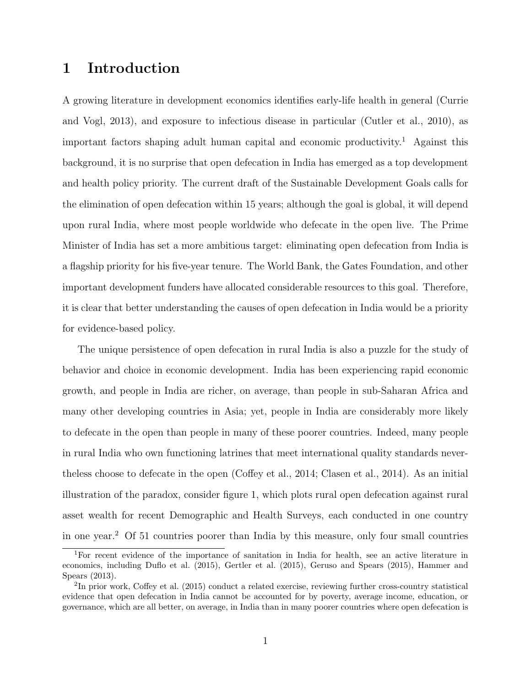# 1 Introduction

A growing literature in development economics identifies early-life health in general (Currie and Vogl, 2013), and exposure to infectious disease in particular (Cutler et al., 2010), as important factors shaping adult human capital and economic productivity.<sup>1</sup> Against this background, it is no surprise that open defecation in India has emerged as a top development and health policy priority. The current draft of the Sustainable Development Goals calls for the elimination of open defecation within 15 years; although the goal is global, it will depend upon rural India, where most people worldwide who defecate in the open live. The Prime Minister of India has set a more ambitious target: eliminating open defecation from India is a flagship priority for his five-year tenure. The World Bank, the Gates Foundation, and other important development funders have allocated considerable resources to this goal. Therefore, it is clear that better understanding the causes of open defecation in India would be a priority for evidence-based policy.

The unique persistence of open defecation in rural India is also a puzzle for the study of behavior and choice in economic development. India has been experiencing rapid economic growth, and people in India are richer, on average, than people in sub-Saharan Africa and many other developing countries in Asia; yet, people in India are considerably more likely to defecate in the open than people in many of these poorer countries. Indeed, many people in rural India who own functioning latrines that meet international quality standards nevertheless choose to defecate in the open (Coffey et al., 2014; Clasen et al., 2014). As an initial illustration of the paradox, consider figure 1, which plots rural open defecation against rural asset wealth for recent Demographic and Health Surveys, each conducted in one country in one year.<sup>2</sup> Of 51 countries poorer than India by this measure, only four small countries

<sup>1</sup>For recent evidence of the importance of sanitation in India for health, see an active literature in economics, including Duflo et al. (2015), Gertler et al. (2015), Geruso and Spears (2015), Hammer and Spears (2013).

<sup>&</sup>lt;sup>2</sup>In prior work, Coffey et al. (2015) conduct a related exercise, reviewing further cross-country statistical evidence that open defecation in India cannot be accounted for by poverty, average income, education, or governance, which are all better, on average, in India than in many poorer countries where open defecation is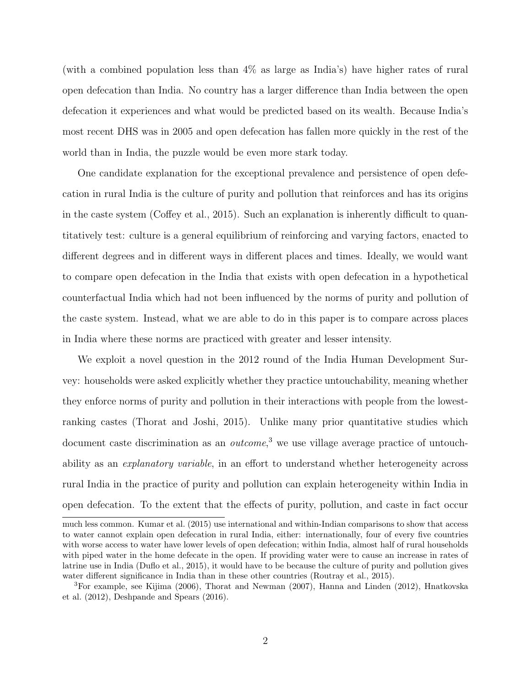(with a combined population less than 4% as large as India's) have higher rates of rural open defecation than India. No country has a larger difference than India between the open defecation it experiences and what would be predicted based on its wealth. Because India's most recent DHS was in 2005 and open defecation has fallen more quickly in the rest of the world than in India, the puzzle would be even more stark today.

One candidate explanation for the exceptional prevalence and persistence of open defecation in rural India is the culture of purity and pollution that reinforces and has its origins in the caste system (Coffey et al., 2015). Such an explanation is inherently difficult to quantitatively test: culture is a general equilibrium of reinforcing and varying factors, enacted to different degrees and in different ways in different places and times. Ideally, we would want to compare open defecation in the India that exists with open defecation in a hypothetical counterfactual India which had not been influenced by the norms of purity and pollution of the caste system. Instead, what we are able to do in this paper is to compare across places in India where these norms are practiced with greater and lesser intensity.

We exploit a novel question in the 2012 round of the India Human Development Survey: households were asked explicitly whether they practice untouchability, meaning whether they enforce norms of purity and pollution in their interactions with people from the lowestranking castes (Thorat and Joshi, 2015). Unlike many prior quantitative studies which document caste discrimination as an *outcome*,<sup>3</sup> we use village average practice of untouchability as an explanatory variable, in an effort to understand whether heterogeneity across rural India in the practice of purity and pollution can explain heterogeneity within India in open defecation. To the extent that the effects of purity, pollution, and caste in fact occur

much less common. Kumar et al. (2015) use international and within-Indian comparisons to show that access to water cannot explain open defecation in rural India, either: internationally, four of every five countries with worse access to water have lower levels of open defecation; within India, almost half of rural households with piped water in the home defecate in the open. If providing water were to cause an increase in rates of latrine use in India (Duflo et al., 2015), it would have to be because the culture of purity and pollution gives water different significance in India than in these other countries (Routray et al., 2015).

<sup>3</sup>For example, see Kijima (2006), Thorat and Newman (2007), Hanna and Linden (2012), Hnatkovska et al. (2012), Deshpande and Spears (2016).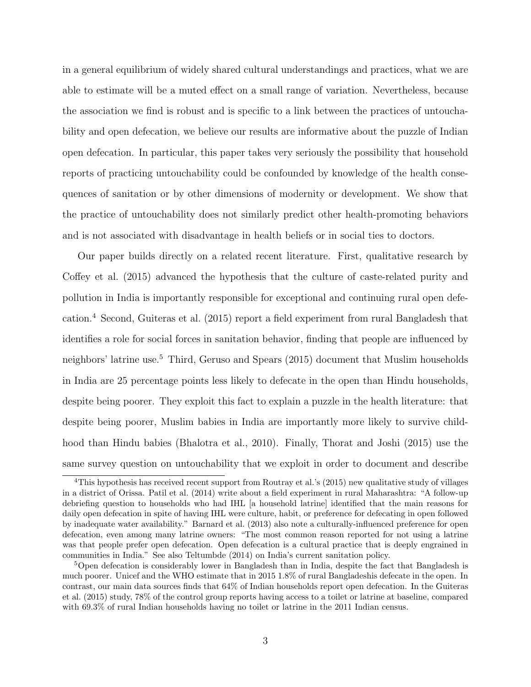in a general equilibrium of widely shared cultural understandings and practices, what we are able to estimate will be a muted effect on a small range of variation. Nevertheless, because the association we find is robust and is specific to a link between the practices of untouchability and open defecation, we believe our results are informative about the puzzle of Indian open defecation. In particular, this paper takes very seriously the possibility that household reports of practicing untouchability could be confounded by knowledge of the health consequences of sanitation or by other dimensions of modernity or development. We show that the practice of untouchability does not similarly predict other health-promoting behaviors and is not associated with disadvantage in health beliefs or in social ties to doctors.

Our paper builds directly on a related recent literature. First, qualitative research by Coffey et al. (2015) advanced the hypothesis that the culture of caste-related purity and pollution in India is importantly responsible for exceptional and continuing rural open defecation.<sup>4</sup> Second, Guiteras et al. (2015) report a field experiment from rural Bangladesh that identifies a role for social forces in sanitation behavior, finding that people are influenced by neighbors' latrine use.<sup>5</sup> Third, Geruso and Spears (2015) document that Muslim households in India are 25 percentage points less likely to defecate in the open than Hindu households, despite being poorer. They exploit this fact to explain a puzzle in the health literature: that despite being poorer, Muslim babies in India are importantly more likely to survive childhood than Hindu babies (Bhalotra et al., 2010). Finally, Thorat and Joshi (2015) use the same survey question on untouchability that we exploit in order to document and describe

<sup>&</sup>lt;sup>4</sup>This hypothesis has received recent support from Routray et al.'s (2015) new qualitative study of villages in a district of Orissa. Patil et al. (2014) write about a field experiment in rural Maharashtra: "A follow-up debriefing question to households who had IHL [a household latrine] identified that the main reasons for daily open defecation in spite of having IHL were culture, habit, or preference for defecating in open followed by inadequate water availability." Barnard et al. (2013) also note a culturally-influenced preference for open defecation, even among many latrine owners: "The most common reason reported for not using a latrine was that people prefer open defecation. Open defecation is a cultural practice that is deeply engrained in communities in India." See also Teltumbde (2014) on India's current sanitation policy.

<sup>&</sup>lt;sup>5</sup>Open defecation is considerably lower in Bangladesh than in India, despite the fact that Bangladesh is much poorer. Unicef and the WHO estimate that in 2015 1.8% of rural Bangladeshis defecate in the open. In contrast, our main data sources finds that 64% of Indian households report open defecation. In the Guiteras et al. (2015) study, 78% of the control group reports having access to a toilet or latrine at baseline, compared with 69.3% of rural Indian households having no toilet or latrine in the 2011 Indian census.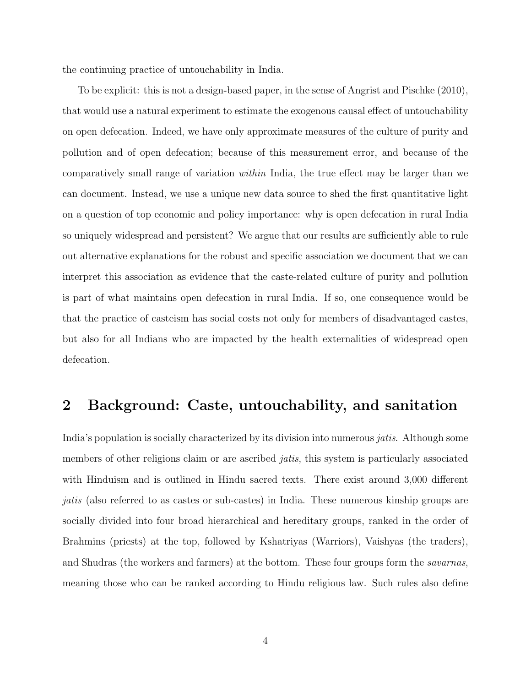the continuing practice of untouchability in India.

To be explicit: this is not a design-based paper, in the sense of Angrist and Pischke (2010), that would use a natural experiment to estimate the exogenous causal effect of untouchability on open defecation. Indeed, we have only approximate measures of the culture of purity and pollution and of open defecation; because of this measurement error, and because of the comparatively small range of variation within India, the true effect may be larger than we can document. Instead, we use a unique new data source to shed the first quantitative light on a question of top economic and policy importance: why is open defecation in rural India so uniquely widespread and persistent? We argue that our results are sufficiently able to rule out alternative explanations for the robust and specific association we document that we can interpret this association as evidence that the caste-related culture of purity and pollution is part of what maintains open defecation in rural India. If so, one consequence would be that the practice of casteism has social costs not only for members of disadvantaged castes, but also for all Indians who are impacted by the health externalities of widespread open defecation.

# 2 Background: Caste, untouchability, and sanitation

India's population is socially characterized by its division into numerous jatis. Although some members of other religions claim or are ascribed *jatis*, this system is particularly associated with Hinduism and is outlined in Hindu sacred texts. There exist around 3,000 different jatis (also referred to as castes or sub-castes) in India. These numerous kinship groups are socially divided into four broad hierarchical and hereditary groups, ranked in the order of Brahmins (priests) at the top, followed by Kshatriyas (Warriors), Vaishyas (the traders), and Shudras (the workers and farmers) at the bottom. These four groups form the savarnas, meaning those who can be ranked according to Hindu religious law. Such rules also define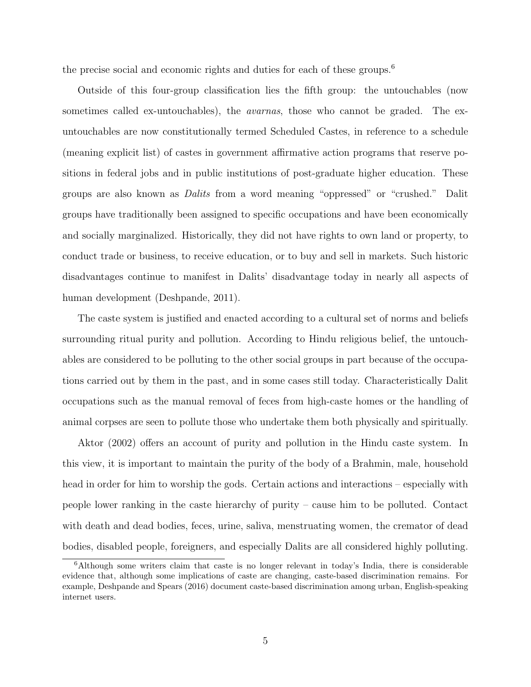the precise social and economic rights and duties for each of these groups.<sup>6</sup>

Outside of this four-group classification lies the fifth group: the untouchables (now sometimes called ex-untouchables), the avarnas, those who cannot be graded. The exuntouchables are now constitutionally termed Scheduled Castes, in reference to a schedule (meaning explicit list) of castes in government affirmative action programs that reserve positions in federal jobs and in public institutions of post-graduate higher education. These groups are also known as Dalits from a word meaning "oppressed" or "crushed." Dalit groups have traditionally been assigned to specific occupations and have been economically and socially marginalized. Historically, they did not have rights to own land or property, to conduct trade or business, to receive education, or to buy and sell in markets. Such historic disadvantages continue to manifest in Dalits' disadvantage today in nearly all aspects of human development (Deshpande, 2011).

The caste system is justified and enacted according to a cultural set of norms and beliefs surrounding ritual purity and pollution. According to Hindu religious belief, the untouchables are considered to be polluting to the other social groups in part because of the occupations carried out by them in the past, and in some cases still today. Characteristically Dalit occupations such as the manual removal of feces from high-caste homes or the handling of animal corpses are seen to pollute those who undertake them both physically and spiritually.

Aktor (2002) offers an account of purity and pollution in the Hindu caste system. In this view, it is important to maintain the purity of the body of a Brahmin, male, household head in order for him to worship the gods. Certain actions and interactions – especially with people lower ranking in the caste hierarchy of purity – cause him to be polluted. Contact with death and dead bodies, feces, urine, saliva, menstruating women, the cremator of dead bodies, disabled people, foreigners, and especially Dalits are all considered highly polluting.

<sup>6</sup>Although some writers claim that caste is no longer relevant in today's India, there is considerable evidence that, although some implications of caste are changing, caste-based discrimination remains. For example, Deshpande and Spears (2016) document caste-based discrimination among urban, English-speaking internet users.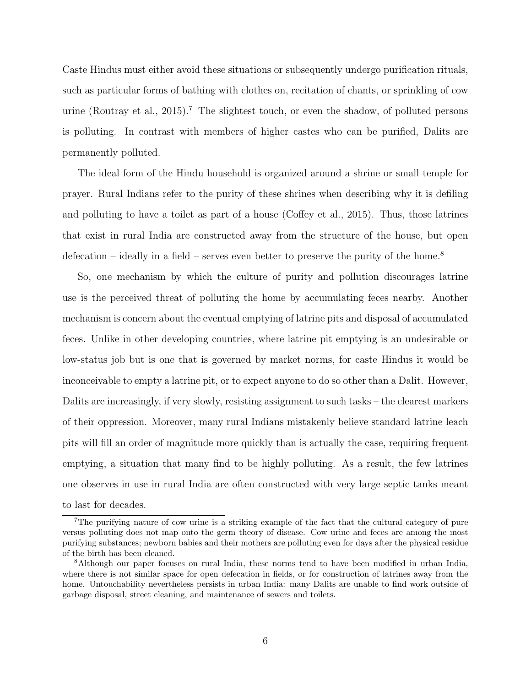Caste Hindus must either avoid these situations or subsequently undergo purification rituals, such as particular forms of bathing with clothes on, recitation of chants, or sprinkling of cow urine (Routray et al., 2015).<sup>7</sup> The slightest touch, or even the shadow, of polluted persons is polluting. In contrast with members of higher castes who can be purified, Dalits are permanently polluted.

The ideal form of the Hindu household is organized around a shrine or small temple for prayer. Rural Indians refer to the purity of these shrines when describing why it is defiling and polluting to have a toilet as part of a house (Coffey et al., 2015). Thus, those latrines that exist in rural India are constructed away from the structure of the house, but open defecation – ideally in a field – serves even better to preserve the purity of the home.<sup>8</sup>

So, one mechanism by which the culture of purity and pollution discourages latrine use is the perceived threat of polluting the home by accumulating feces nearby. Another mechanism is concern about the eventual emptying of latrine pits and disposal of accumulated feces. Unlike in other developing countries, where latrine pit emptying is an undesirable or low-status job but is one that is governed by market norms, for caste Hindus it would be inconceivable to empty a latrine pit, or to expect anyone to do so other than a Dalit. However, Dalits are increasingly, if very slowly, resisting assignment to such tasks – the clearest markers of their oppression. Moreover, many rural Indians mistakenly believe standard latrine leach pits will fill an order of magnitude more quickly than is actually the case, requiring frequent emptying, a situation that many find to be highly polluting. As a result, the few latrines one observes in use in rural India are often constructed with very large septic tanks meant to last for decades.

<sup>7</sup>The purifying nature of cow urine is a striking example of the fact that the cultural category of pure versus polluting does not map onto the germ theory of disease. Cow urine and feces are among the most purifying substances; newborn babies and their mothers are polluting even for days after the physical residue of the birth has been cleaned.

<sup>8</sup>Although our paper focuses on rural India, these norms tend to have been modified in urban India, where there is not similar space for open defecation in fields, or for construction of latrines away from the home. Untouchability nevertheless persists in urban India: many Dalits are unable to find work outside of garbage disposal, street cleaning, and maintenance of sewers and toilets.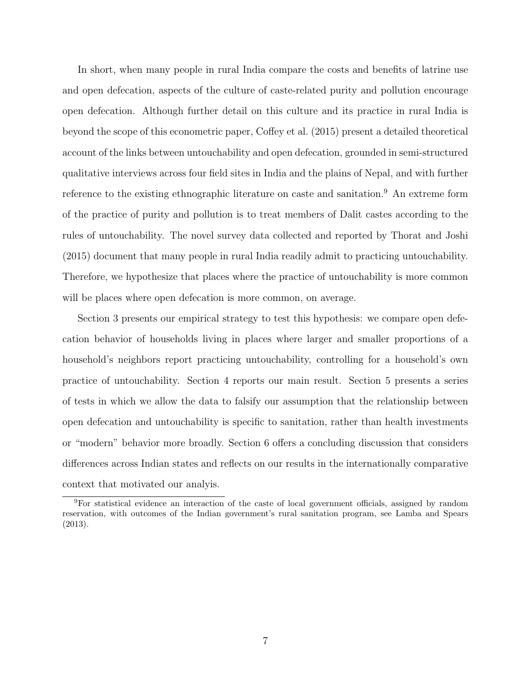In short, when many people in rural India compare the costs and benefits of latrine use and open defecation, aspects of the culture of caste-related purity and pollution encourage open defecation. Although further detail on this culture and its practice in rural India is beyond the scope of this econometric paper, Coffey et al. (2015) present a detailed theoretical account of the links between untouchability and open defecation, grounded in semi-structured qualitative interviews across four field sites in India and the plains of Nepal, and with further reference to the existing ethnographic literature on caste and sanitation.<sup>9</sup> An extreme form of the practice of purity and pollution is to treat members of Dalit castes according to the rules of untouchability. The novel survey data collected and reported by Thorat and Joshi (2015) document that many people in rural India readily admit to practicing untouchability. Therefore, we hypothesize that places where the practice of untouchability is more common will be places where open defecation is more common, on average.

Section 3 presents our empirical strategy to test this hypothesis: we compare open defecation behavior of households living in places where larger and smaller proportions of a household's neighbors report practicing untouchability, controlling for a household's own practice of untouchability. Section 4 reports our main result. Section 5 presents a series of tests in which we allow the data to falsify our assumption that the relationship between open defecation and untouchability is specific to sanitation, rather than health investments or "modern" behavior more broadly. Section 6 offers a concluding discussion that considers differences across Indian states and reflects on our results in the internationally comparative context that motivated our analyis.

<sup>9</sup>For statistical evidence an interaction of the caste of local government officials, assigned by random reservation, with outcomes of the Indian government's rural sanitation program, see Lamba and Spears (2013).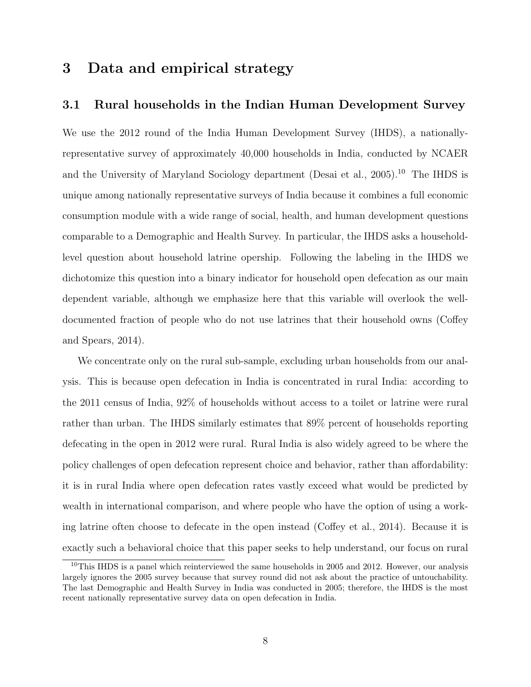# 3 Data and empirical strategy

### 3.1 Rural households in the Indian Human Development Survey

We use the 2012 round of the India Human Development Survey (IHDS), a nationallyrepresentative survey of approximately 40,000 households in India, conducted by NCAER and the University of Maryland Sociology department (Desai et al., 2005).<sup>10</sup> The IHDS is unique among nationally representative surveys of India because it combines a full economic consumption module with a wide range of social, health, and human development questions comparable to a Demographic and Health Survey. In particular, the IHDS asks a householdlevel question about household latrine opership. Following the labeling in the IHDS we dichotomize this question into a binary indicator for household open defecation as our main dependent variable, although we emphasize here that this variable will overlook the welldocumented fraction of people who do not use latrines that their household owns (Coffey and Spears, 2014).

We concentrate only on the rural sub-sample, excluding urban households from our analysis. This is because open defecation in India is concentrated in rural India: according to the 2011 census of India, 92% of households without access to a toilet or latrine were rural rather than urban. The IHDS similarly estimates that 89% percent of households reporting defecating in the open in 2012 were rural. Rural India is also widely agreed to be where the policy challenges of open defecation represent choice and behavior, rather than affordability: it is in rural India where open defecation rates vastly exceed what would be predicted by wealth in international comparison, and where people who have the option of using a working latrine often choose to defecate in the open instead (Coffey et al., 2014). Because it is exactly such a behavioral choice that this paper seeks to help understand, our focus on rural

<sup>10</sup>This IHDS is a panel which reinterviewed the same households in 2005 and 2012. However, our analysis largely ignores the 2005 survey because that survey round did not ask about the practice of untouchability. The last Demographic and Health Survey in India was conducted in 2005; therefore, the IHDS is the most recent nationally representative survey data on open defecation in India.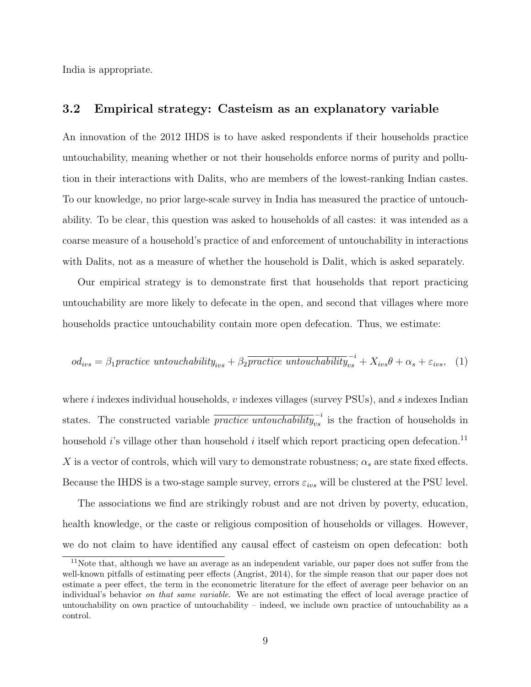India is appropriate.

### 3.2 Empirical strategy: Casteism as an explanatory variable

An innovation of the 2012 IHDS is to have asked respondents if their households practice untouchability, meaning whether or not their households enforce norms of purity and pollution in their interactions with Dalits, who are members of the lowest-ranking Indian castes. To our knowledge, no prior large-scale survey in India has measured the practice of untouchability. To be clear, this question was asked to households of all castes: it was intended as a coarse measure of a household's practice of and enforcement of untouchability in interactions with Dalits, not as a measure of whether the household is Dalit, which is asked separately.

Our empirical strategy is to demonstrate first that households that report practicing untouchability are more likely to defecate in the open, and second that villages where more households practice untouchability contain more open defecation. Thus, we estimate:

$$
od_{ivs} = \beta_1 practice \text{ untouchability}_{ivs} + \beta_2 \overline{practive \text{ untouchability}}_{vs}^{-i} + X_{ivs}\theta + \alpha_s + \varepsilon_{ivs}, \quad (1)
$$

where i indexes individual households,  $v$  indexes villages (survey PSUs), and  $s$  indexes Indian states. The constructed variable  $\overline{practive~untouchability}_{vs}^{-i}$  is the fraction of households in household i's village other than household i itself which report practicing open defecation.<sup>11</sup> X is a vector of controls, which will vary to demonstrate robustness;  $\alpha_s$  are state fixed effects. Because the IHDS is a two-stage sample survey, errors  $\varepsilon_{ivs}$  will be clustered at the PSU level.

The associations we find are strikingly robust and are not driven by poverty, education, health knowledge, or the caste or religious composition of households or villages. However, we do not claim to have identified any causal effect of casteism on open defecation: both

<sup>11</sup>Note that, although we have an average as an independent variable, our paper does not suffer from the well-known pitfalls of estimating peer effects (Angrist, 2014), for the simple reason that our paper does not estimate a peer effect, the term in the econometric literature for the effect of average peer behavior on an individual's behavior on that same variable. We are not estimating the effect of local average practice of untouchability on own practice of untouchability – indeed, we include own practice of untouchability as a control.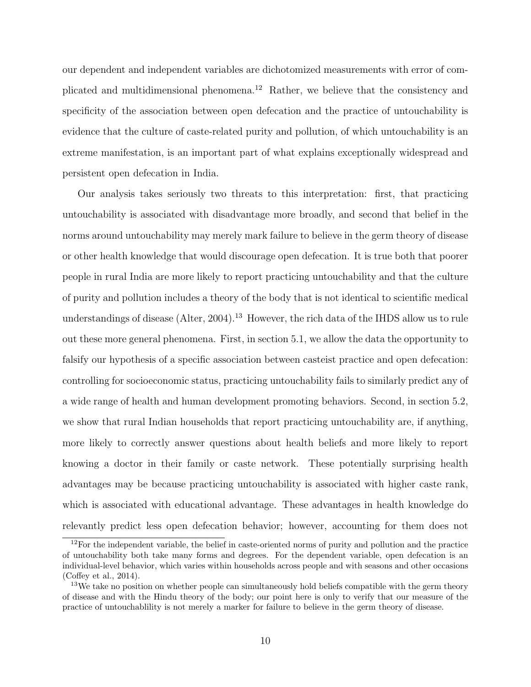our dependent and independent variables are dichotomized measurements with error of complicated and multidimensional phenomena.<sup>12</sup> Rather, we believe that the consistency and specificity of the association between open defecation and the practice of untouchability is evidence that the culture of caste-related purity and pollution, of which untouchability is an extreme manifestation, is an important part of what explains exceptionally widespread and persistent open defecation in India.

Our analysis takes seriously two threats to this interpretation: first, that practicing untouchability is associated with disadvantage more broadly, and second that belief in the norms around untouchability may merely mark failure to believe in the germ theory of disease or other health knowledge that would discourage open defecation. It is true both that poorer people in rural India are more likely to report practicing untouchability and that the culture of purity and pollution includes a theory of the body that is not identical to scientific medical understandings of disease (Alter, 2004).<sup>13</sup> However, the rich data of the IHDS allow us to rule out these more general phenomena. First, in section 5.1, we allow the data the opportunity to falsify our hypothesis of a specific association between casteist practice and open defecation: controlling for socioeconomic status, practicing untouchability fails to similarly predict any of a wide range of health and human development promoting behaviors. Second, in section 5.2, we show that rural Indian households that report practicing untouchability are, if anything, more likely to correctly answer questions about health beliefs and more likely to report knowing a doctor in their family or caste network. These potentially surprising health advantages may be because practicing untouchability is associated with higher caste rank, which is associated with educational advantage. These advantages in health knowledge do relevantly predict less open defecation behavior; however, accounting for them does not

 $12$ For the independent variable, the belief in caste-oriented norms of purity and pollution and the practice of untouchability both take many forms and degrees. For the dependent variable, open defecation is an individual-level behavior, which varies within households across people and with seasons and other occasions (Coffey et al., 2014).

<sup>&</sup>lt;sup>13</sup>We take no position on whether people can simultaneously hold beliefs compatible with the germ theory of disease and with the Hindu theory of the body; our point here is only to verify that our measure of the practice of untouchablility is not merely a marker for failure to believe in the germ theory of disease.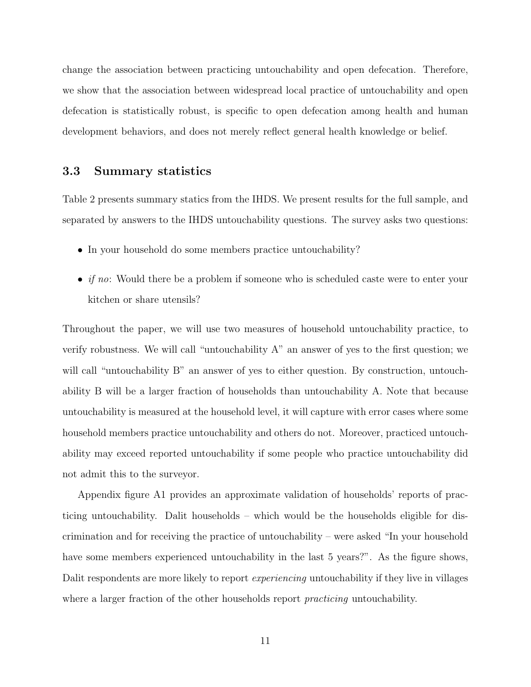change the association between practicing untouchability and open defecation. Therefore, we show that the association between widespread local practice of untouchability and open defecation is statistically robust, is specific to open defecation among health and human development behaviors, and does not merely reflect general health knowledge or belief.

### 3.3 Summary statistics

Table 2 presents summary statics from the IHDS. We present results for the full sample, and separated by answers to the IHDS untouchability questions. The survey asks two questions:

- In your household do some members practice untouchability?
- *if no*: Would there be a problem if someone who is scheduled caste were to enter your kitchen or share utensils?

Throughout the paper, we will use two measures of household untouchability practice, to verify robustness. We will call "untouchability A" an answer of yes to the first question; we will call "untouchability B" an answer of yes to either question. By construction, untouchability B will be a larger fraction of households than untouchability A. Note that because untouchability is measured at the household level, it will capture with error cases where some household members practice untouchability and others do not. Moreover, practiced untouchability may exceed reported untouchability if some people who practice untouchability did not admit this to the surveyor.

Appendix figure A1 provides an approximate validation of households' reports of practicing untouchability. Dalit households – which would be the households eligible for discrimination and for receiving the practice of untouchability – were asked "In your household have some members experienced untouchability in the last 5 years?". As the figure shows, Dalit respondents are more likely to report *experiencing* untouchability if they live in villages where a larger fraction of the other households report *practicing* untouchability.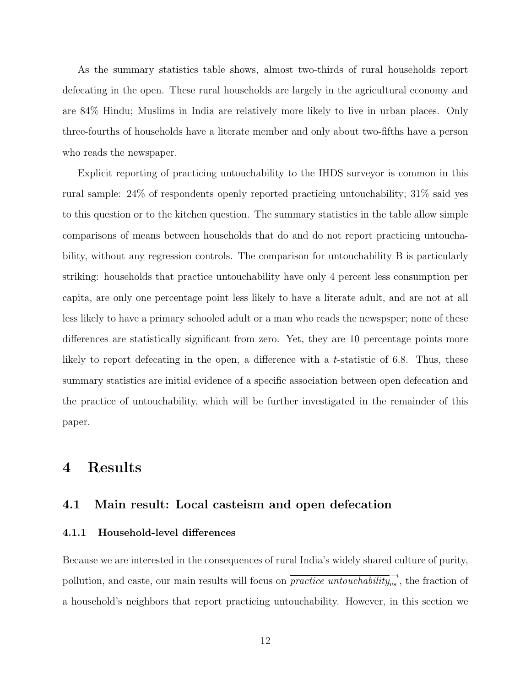As the summary statistics table shows, almost two-thirds of rural households report defecating in the open. These rural households are largely in the agricultural economy and are 84% Hindu; Muslims in India are relatively more likely to live in urban places. Only three-fourths of households have a literate member and only about two-fifths have a person who reads the newspaper.

Explicit reporting of practicing untouchability to the IHDS surveyor is common in this rural sample: 24% of respondents openly reported practicing untouchability; 31% said yes to this question or to the kitchen question. The summary statistics in the table allow simple comparisons of means between households that do and do not report practicing untouchability, without any regression controls. The comparison for untouchability B is particularly striking: households that practice untouchability have only 4 percent less consumption per capita, are only one percentage point less likely to have a literate adult, and are not at all less likely to have a primary schooled adult or a man who reads the newspsper; none of these differences are statistically significant from zero. Yet, they are 10 percentage points more likely to report defecating in the open, a difference with a t-statistic of 6.8. Thus, these summary statistics are initial evidence of a specific association between open defecation and the practice of untouchability, which will be further investigated in the remainder of this paper.

### 4 Results

### 4.1 Main result: Local casteism and open defecation

#### 4.1.1 Household-level differences

Because we are interested in the consequences of rural India's widely shared culture of purity, pollution, and caste, our main results will focus on  $\overline{practive\ untouchability}_{vs}^{-i}$ , the fraction of a household's neighbors that report practicing untouchability. However, in this section we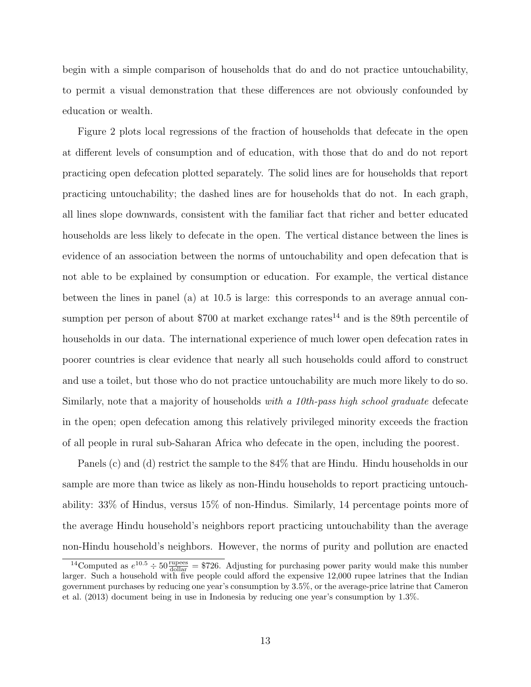begin with a simple comparison of households that do and do not practice untouchability, to permit a visual demonstration that these differences are not obviously confounded by education or wealth.

Figure 2 plots local regressions of the fraction of households that defecate in the open at different levels of consumption and of education, with those that do and do not report practicing open defecation plotted separately. The solid lines are for households that report practicing untouchability; the dashed lines are for households that do not. In each graph, all lines slope downwards, consistent with the familiar fact that richer and better educated households are less likely to defecate in the open. The vertical distance between the lines is evidence of an association between the norms of untouchability and open defecation that is not able to be explained by consumption or education. For example, the vertical distance between the lines in panel (a) at 10.5 is large: this corresponds to an average annual consumption per person of about \$700 at market exchange rates<sup>14</sup> and is the 89th percentile of households in our data. The international experience of much lower open defecation rates in poorer countries is clear evidence that nearly all such households could afford to construct and use a toilet, but those who do not practice untouchability are much more likely to do so. Similarly, note that a majority of households with a 10th-pass high school graduate defecate in the open; open defecation among this relatively privileged minority exceeds the fraction of all people in rural sub-Saharan Africa who defecate in the open, including the poorest.

Panels (c) and (d) restrict the sample to the 84% that are Hindu. Hindu households in our sample are more than twice as likely as non-Hindu households to report practicing untouchability: 33% of Hindus, versus 15% of non-Hindus. Similarly, 14 percentage points more of the average Hindu household's neighbors report practicing untouchability than the average non-Hindu household's neighbors. However, the norms of purity and pollution are enacted

<sup>&</sup>lt;sup>14</sup>Computed as  $e^{10.5} \div 50 \frac{\text{rupees}}{\text{dollar}} = $726$ . Adjusting for purchasing power parity would make this number larger. Such a household with five people could afford the expensive 12,000 rupee latrines that the Indian government purchases by reducing one year's consumption by 3.5%, or the average-price latrine that Cameron et al. (2013) document being in use in Indonesia by reducing one year's consumption by 1.3%.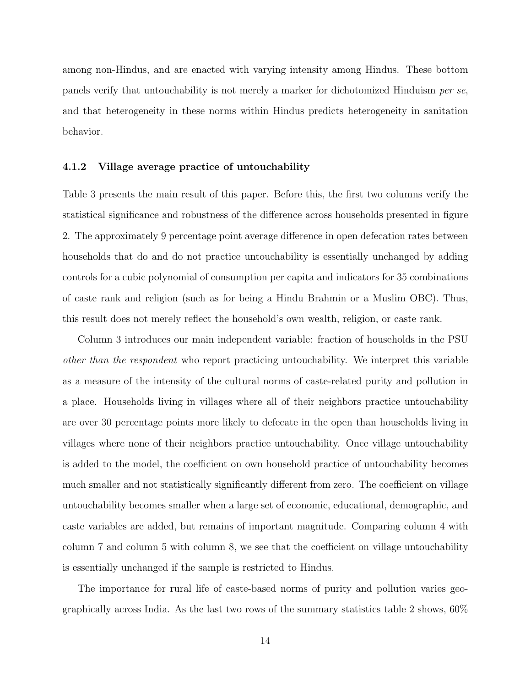among non-Hindus, and are enacted with varying intensity among Hindus. These bottom panels verify that untouchability is not merely a marker for dichotomized Hinduism per se, and that heterogeneity in these norms within Hindus predicts heterogeneity in sanitation behavior.

#### 4.1.2 Village average practice of untouchability

Table 3 presents the main result of this paper. Before this, the first two columns verify the statistical significance and robustness of the difference across households presented in figure 2. The approximately 9 percentage point average difference in open defecation rates between households that do and do not practice untouchability is essentially unchanged by adding controls for a cubic polynomial of consumption per capita and indicators for 35 combinations of caste rank and religion (such as for being a Hindu Brahmin or a Muslim OBC). Thus, this result does not merely reflect the household's own wealth, religion, or caste rank.

Column 3 introduces our main independent variable: fraction of households in the PSU other than the respondent who report practicing untouchability. We interpret this variable as a measure of the intensity of the cultural norms of caste-related purity and pollution in a place. Households living in villages where all of their neighbors practice untouchability are over 30 percentage points more likely to defecate in the open than households living in villages where none of their neighbors practice untouchability. Once village untouchability is added to the model, the coefficient on own household practice of untouchability becomes much smaller and not statistically significantly different from zero. The coefficient on village untouchability becomes smaller when a large set of economic, educational, demographic, and caste variables are added, but remains of important magnitude. Comparing column 4 with column 7 and column 5 with column 8, we see that the coefficient on village untouchability is essentially unchanged if the sample is restricted to Hindus.

The importance for rural life of caste-based norms of purity and pollution varies geographically across India. As the last two rows of the summary statistics table 2 shows, 60%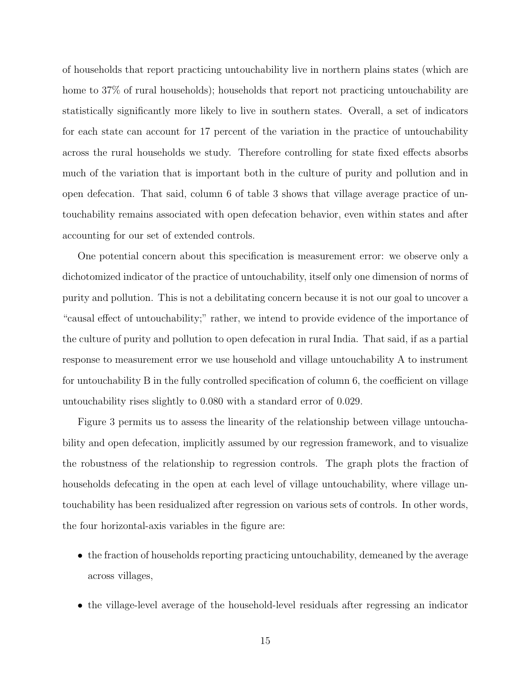of households that report practicing untouchability live in northern plains states (which are home to 37% of rural households); households that report not practicing untouchability are statistically significantly more likely to live in southern states. Overall, a set of indicators for each state can account for 17 percent of the variation in the practice of untouchability across the rural households we study. Therefore controlling for state fixed effects absorbs much of the variation that is important both in the culture of purity and pollution and in open defecation. That said, column 6 of table 3 shows that village average practice of untouchability remains associated with open defecation behavior, even within states and after accounting for our set of extended controls.

One potential concern about this specification is measurement error: we observe only a dichotomized indicator of the practice of untouchability, itself only one dimension of norms of purity and pollution. This is not a debilitating concern because it is not our goal to uncover a "causal effect of untouchability;" rather, we intend to provide evidence of the importance of the culture of purity and pollution to open defecation in rural India. That said, if as a partial response to measurement error we use household and village untouchability A to instrument for untouchability B in the fully controlled specification of column 6, the coefficient on village untouchability rises slightly to 0.080 with a standard error of 0.029.

Figure 3 permits us to assess the linearity of the relationship between village untouchability and open defecation, implicitly assumed by our regression framework, and to visualize the robustness of the relationship to regression controls. The graph plots the fraction of households defecating in the open at each level of village untouchability, where village untouchability has been residualized after regression on various sets of controls. In other words, the four horizontal-axis variables in the figure are:

- the fraction of households reporting practicing untouchability, demeaned by the average across villages,
- the village-level average of the household-level residuals after regressing an indicator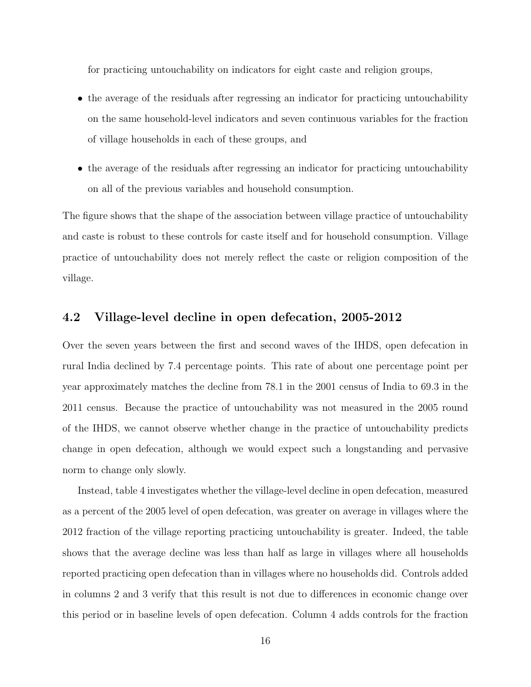for practicing untouchability on indicators for eight caste and religion groups,

- the average of the residuals after regressing an indicator for practicing untouchability on the same household-level indicators and seven continuous variables for the fraction of village households in each of these groups, and
- the average of the residuals after regressing an indicator for practicing untouchability on all of the previous variables and household consumption.

The figure shows that the shape of the association between village practice of untouchability and caste is robust to these controls for caste itself and for household consumption. Village practice of untouchability does not merely reflect the caste or religion composition of the village.

### 4.2 Village-level decline in open defecation, 2005-2012

Over the seven years between the first and second waves of the IHDS, open defecation in rural India declined by 7.4 percentage points. This rate of about one percentage point per year approximately matches the decline from 78.1 in the 2001 census of India to 69.3 in the 2011 census. Because the practice of untouchability was not measured in the 2005 round of the IHDS, we cannot observe whether change in the practice of untouchability predicts change in open defecation, although we would expect such a longstanding and pervasive norm to change only slowly.

Instead, table 4 investigates whether the village-level decline in open defecation, measured as a percent of the 2005 level of open defecation, was greater on average in villages where the 2012 fraction of the village reporting practicing untouchability is greater. Indeed, the table shows that the average decline was less than half as large in villages where all households reported practicing open defecation than in villages where no households did. Controls added in columns 2 and 3 verify that this result is not due to differences in economic change over this period or in baseline levels of open defecation. Column 4 adds controls for the fraction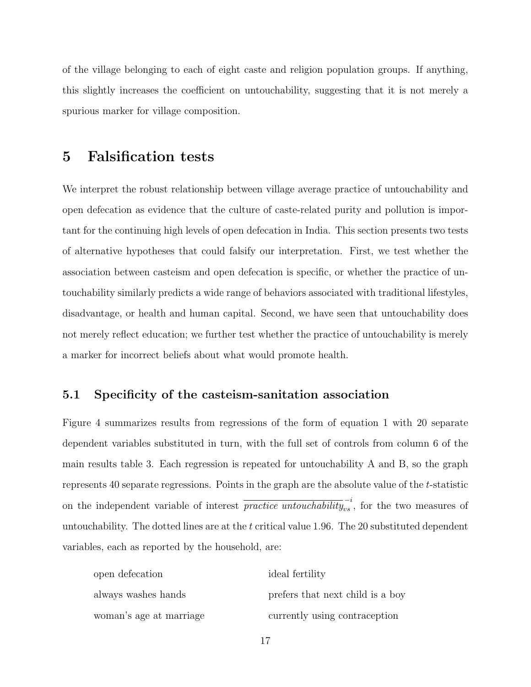of the village belonging to each of eight caste and religion population groups. If anything, this slightly increases the coefficient on untouchability, suggesting that it is not merely a spurious marker for village composition.

# 5 Falsification tests

We interpret the robust relationship between village average practice of untouchability and open defecation as evidence that the culture of caste-related purity and pollution is important for the continuing high levels of open defecation in India. This section presents two tests of alternative hypotheses that could falsify our interpretation. First, we test whether the association between casteism and open defecation is specific, or whether the practice of untouchability similarly predicts a wide range of behaviors associated with traditional lifestyles, disadvantage, or health and human capital. Second, we have seen that untouchability does not merely reflect education; we further test whether the practice of untouchability is merely a marker for incorrect beliefs about what would promote health.

### 5.1 Specificity of the casteism-sanitation association

Figure 4 summarizes results from regressions of the form of equation 1 with 20 separate dependent variables substituted in turn, with the full set of controls from column 6 of the main results table 3. Each regression is repeated for untouchability A and B, so the graph represents 40 separate regressions. Points in the graph are the absolute value of the t-statistic on the independent variable of interest  $\overline{practive\ untouchability}_{vs}^{-i}$ , for the two measures of untouchability. The dotted lines are at the t critical value 1.96. The 20 substituted dependent variables, each as reported by the household, are:

| open defecation         | ideal fertility                  |
|-------------------------|----------------------------------|
| always washes hands     | prefers that next child is a boy |
| woman's age at marriage | currently using contraception    |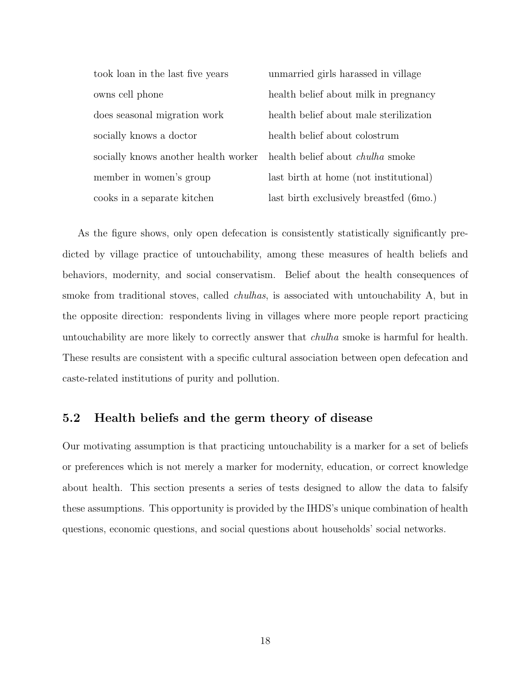| took loan in the last five years     | unmarried girls harassed in village     |
|--------------------------------------|-----------------------------------------|
| owns cell phone                      | health belief about milk in pregnancy   |
| does seasonal migration work         | health belief about male sterilization  |
| socially knows a doctor              | health belief about colostrum           |
| socially knows another health worker | health belief about <i>chulha</i> smoke |
| member in women's group              | last birth at home (not institutional)  |
| cooks in a separate kitchen          | last birth exclusively breastfed (6mo.) |

As the figure shows, only open defecation is consistently statistically significantly predicted by village practice of untouchability, among these measures of health beliefs and behaviors, modernity, and social conservatism. Belief about the health consequences of smoke from traditional stoves, called *chulhas*, is associated with untouchability A, but in the opposite direction: respondents living in villages where more people report practicing untouchability are more likely to correctly answer that chulha smoke is harmful for health. These results are consistent with a specific cultural association between open defecation and caste-related institutions of purity and pollution.

### 5.2 Health beliefs and the germ theory of disease

Our motivating assumption is that practicing untouchability is a marker for a set of beliefs or preferences which is not merely a marker for modernity, education, or correct knowledge about health. This section presents a series of tests designed to allow the data to falsify these assumptions. This opportunity is provided by the IHDS's unique combination of health questions, economic questions, and social questions about households' social networks.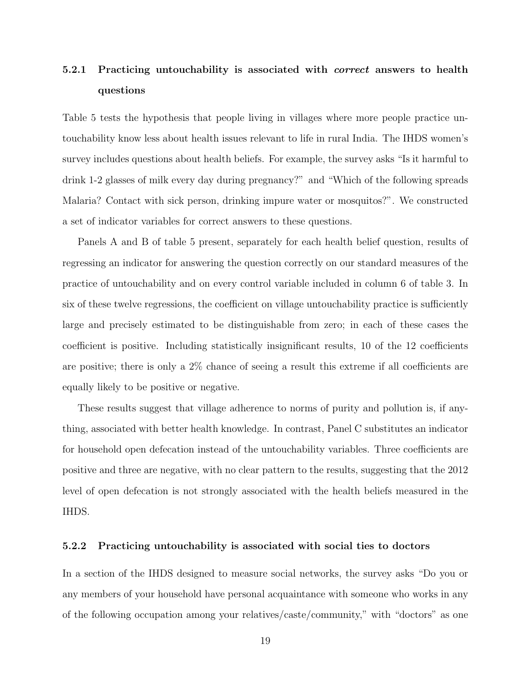# 5.2.1 Practicing untouchability is associated with *correct* answers to health questions

Table 5 tests the hypothesis that people living in villages where more people practice untouchability know less about health issues relevant to life in rural India. The IHDS women's survey includes questions about health beliefs. For example, the survey asks "Is it harmful to drink 1-2 glasses of milk every day during pregnancy?" and "Which of the following spreads Malaria? Contact with sick person, drinking impure water or mosquitos?". We constructed a set of indicator variables for correct answers to these questions.

Panels A and B of table 5 present, separately for each health belief question, results of regressing an indicator for answering the question correctly on our standard measures of the practice of untouchability and on every control variable included in column 6 of table 3. In six of these twelve regressions, the coefficient on village untouchability practice is sufficiently large and precisely estimated to be distinguishable from zero; in each of these cases the coefficient is positive. Including statistically insignificant results, 10 of the 12 coefficients are positive; there is only a 2% chance of seeing a result this extreme if all coefficients are equally likely to be positive or negative.

These results suggest that village adherence to norms of purity and pollution is, if anything, associated with better health knowledge. In contrast, Panel C substitutes an indicator for household open defecation instead of the untouchability variables. Three coefficients are positive and three are negative, with no clear pattern to the results, suggesting that the 2012 level of open defecation is not strongly associated with the health beliefs measured in the IHDS.

#### 5.2.2 Practicing untouchability is associated with social ties to doctors

In a section of the IHDS designed to measure social networks, the survey asks "Do you or any members of your household have personal acquaintance with someone who works in any of the following occupation among your relatives/caste/community," with "doctors" as one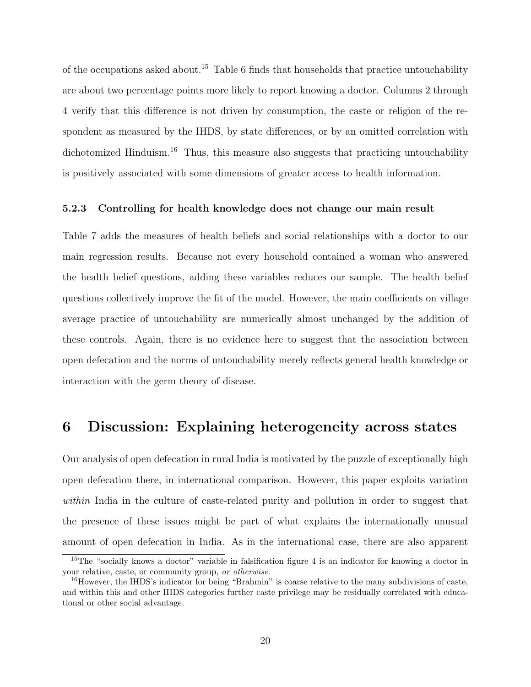of the occupations asked about.<sup>15</sup> Table 6 finds that households that practice untouchability are about two percentage points more likely to report knowing a doctor. Columns 2 through 4 verify that this difference is not driven by consumption, the caste or religion of the respondent as measured by the IHDS, by state differences, or by an omitted correlation with dichotomized Hinduism.<sup>16</sup> Thus, this measure also suggests that practicing untouchability is positively associated with some dimensions of greater access to health information.

#### 5.2.3 Controlling for health knowledge does not change our main result

Table 7 adds the measures of health beliefs and social relationships with a doctor to our main regression results. Because not every household contained a woman who answered the health belief questions, adding these variables reduces our sample. The health belief questions collectively improve the fit of the model. However, the main coefficients on village average practice of untouchability are numerically almost unchanged by the addition of these controls. Again, there is no evidence here to suggest that the association between open defecation and the norms of untouchability merely reflects general health knowledge or interaction with the germ theory of disease.

## 6 Discussion: Explaining heterogeneity across states

Our analysis of open defecation in rural India is motivated by the puzzle of exceptionally high open defecation there, in international comparison. However, this paper exploits variation within India in the culture of caste-related purity and pollution in order to suggest that the presence of these issues might be part of what explains the internationally unusual amount of open defecation in India. As in the international case, there are also apparent

<sup>&</sup>lt;sup>15</sup>The "socially knows a doctor" variable in falsification figure 4 is an indicator for knowing a doctor in your relative, caste, or community group, or otherwise.

<sup>&</sup>lt;sup>16</sup>However, the IHDS's indicator for being "Brahmin" is coarse relative to the many subdivisions of caste, and within this and other IHDS categories further caste privilege may be residually correlated with educational or other social advantage.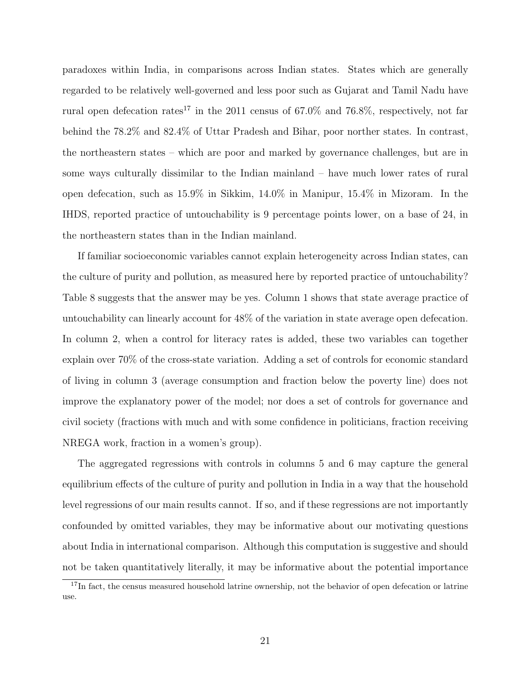paradoxes within India, in comparisons across Indian states. States which are generally regarded to be relatively well-governed and less poor such as Gujarat and Tamil Nadu have rural open defecation rates<sup>17</sup> in the 2011 census of 67.0% and 76.8%, respectively, not far behind the 78.2% and 82.4% of Uttar Pradesh and Bihar, poor norther states. In contrast, the northeastern states – which are poor and marked by governance challenges, but are in some ways culturally dissimilar to the Indian mainland – have much lower rates of rural open defecation, such as 15.9% in Sikkim, 14.0% in Manipur, 15.4% in Mizoram. In the IHDS, reported practice of untouchability is 9 percentage points lower, on a base of 24, in the northeastern states than in the Indian mainland.

If familiar socioeconomic variables cannot explain heterogeneity across Indian states, can the culture of purity and pollution, as measured here by reported practice of untouchability? Table 8 suggests that the answer may be yes. Column 1 shows that state average practice of untouchability can linearly account for 48% of the variation in state average open defecation. In column 2, when a control for literacy rates is added, these two variables can together explain over 70% of the cross-state variation. Adding a set of controls for economic standard of living in column 3 (average consumption and fraction below the poverty line) does not improve the explanatory power of the model; nor does a set of controls for governance and civil society (fractions with much and with some confidence in politicians, fraction receiving NREGA work, fraction in a women's group).

The aggregated regressions with controls in columns 5 and 6 may capture the general equilibrium effects of the culture of purity and pollution in India in a way that the household level regressions of our main results cannot. If so, and if these regressions are not importantly confounded by omitted variables, they may be informative about our motivating questions about India in international comparison. Although this computation is suggestive and should not be taken quantitatively literally, it may be informative about the potential importance

<sup>&</sup>lt;sup>17</sup>In fact, the census measured household latrine ownership, not the behavior of open defecation or latrine use.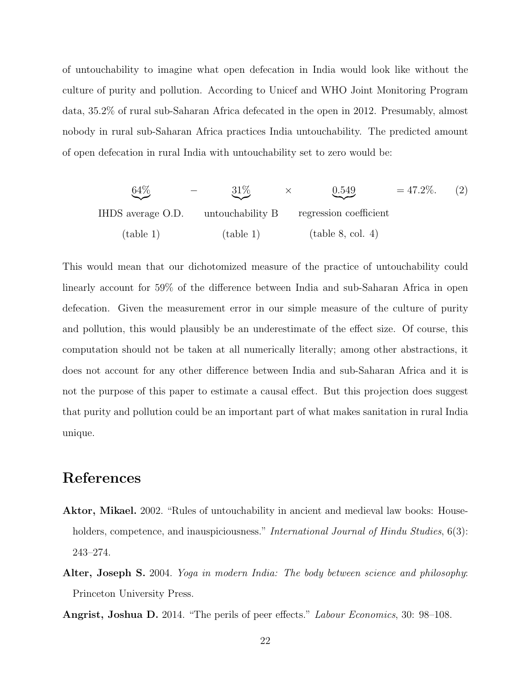of untouchability to imagine what open defecation in India would look like without the culture of purity and pollution. According to Unicef and WHO Joint Monitoring Program data, 35.2% of rural sub-Saharan Africa defecated in the open in 2012. Presumably, almost nobody in rural sub-Saharan Africa practices India untouchability. The predicted amount of open defecation in rural India with untouchability set to zero would be:

$$
\underbrace{64\%}_{\text{IHDS average O.D.}} - \underbrace{31\%}_{\text{untouchability B}} \times \underbrace{0.549}_{\text{regression coefficient}} = 47.2\%.
$$
 (2)  
\n
$$
\underbrace{(2)}_{\text{(table 1)}}
$$
 (table 1)

This would mean that our dichotomized measure of the practice of untouchability could linearly account for 59% of the difference between India and sub-Saharan Africa in open defecation. Given the measurement error in our simple measure of the culture of purity and pollution, this would plausibly be an underestimate of the effect size. Of course, this computation should not be taken at all numerically literally; among other abstractions, it does not account for any other difference between India and sub-Saharan Africa and it is not the purpose of this paper to estimate a causal effect. But this projection does suggest that purity and pollution could be an important part of what makes sanitation in rural India unique.

# References

- Aktor, Mikael. 2002. "Rules of untouchability in ancient and medieval law books: Householders, competence, and inauspiciousness." *International Journal of Hindu Studies*, 6(3): 243–274.
- Alter, Joseph S. 2004. *Yoga in modern India: The body between science and philosophy:* Princeton University Press.
- Angrist, Joshua D. 2014. "The perils of peer effects." Labour Economics, 30: 98–108.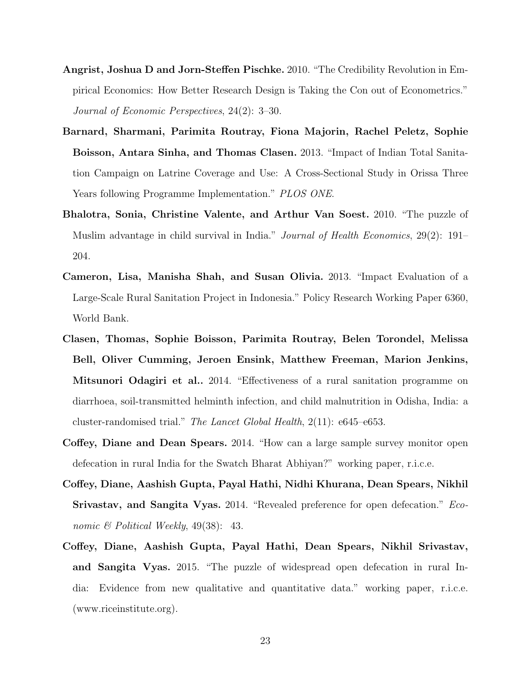- Angrist, Joshua D and Jorn-Steffen Pischke. 2010. "The Credibility Revolution in Empirical Economics: How Better Research Design is Taking the Con out of Econometrics." Journal of Economic Perspectives, 24(2): 3–30.
- Barnard, Sharmani, Parimita Routray, Fiona Majorin, Rachel Peletz, Sophie Boisson, Antara Sinha, and Thomas Clasen. 2013. "Impact of Indian Total Sanitation Campaign on Latrine Coverage and Use: A Cross-Sectional Study in Orissa Three Years following Programme Implementation." PLOS ONE.
- Bhalotra, Sonia, Christine Valente, and Arthur Van Soest. 2010. "The puzzle of Muslim advantage in child survival in India." Journal of Health Economics, 29(2): 191– 204.
- Cameron, Lisa, Manisha Shah, and Susan Olivia. 2013. "Impact Evaluation of a Large-Scale Rural Sanitation Project in Indonesia." Policy Research Working Paper 6360, World Bank.
- Clasen, Thomas, Sophie Boisson, Parimita Routray, Belen Torondel, Melissa Bell, Oliver Cumming, Jeroen Ensink, Matthew Freeman, Marion Jenkins, Mitsunori Odagiri et al.. 2014. "Effectiveness of a rural sanitation programme on diarrhoea, soil-transmitted helminth infection, and child malnutrition in Odisha, India: a cluster-randomised trial." The Lancet Global Health, 2(11): e645–e653.
- Coffey, Diane and Dean Spears. 2014. "How can a large sample survey monitor open defecation in rural India for the Swatch Bharat Abhiyan?" working paper, r.i.c.e.
- Coffey, Diane, Aashish Gupta, Payal Hathi, Nidhi Khurana, Dean Spears, Nikhil Srivastav, and Sangita Vyas. 2014. "Revealed preference for open defecation." Economic  $\mathcal C$  Political Weekly, 49(38): 43.
- Coffey, Diane, Aashish Gupta, Payal Hathi, Dean Spears, Nikhil Srivastav, and Sangita Vyas. 2015. "The puzzle of widespread open defecation in rural India: Evidence from new qualitative and quantitative data." working paper, r.i.c.e. (www.riceinstitute.org).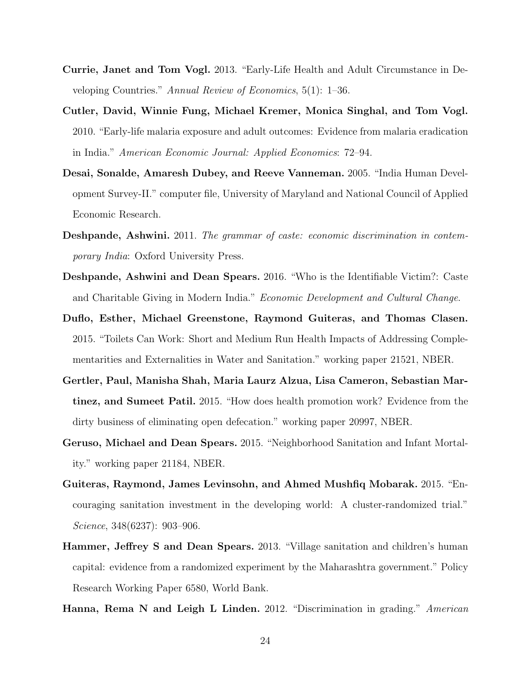- Currie, Janet and Tom Vogl. 2013. "Early-Life Health and Adult Circumstance in Developing Countries." Annual Review of Economics, 5(1): 1–36.
- Cutler, David, Winnie Fung, Michael Kremer, Monica Singhal, and Tom Vogl. 2010. "Early-life malaria exposure and adult outcomes: Evidence from malaria eradication in India." American Economic Journal: Applied Economics: 72–94.
- Desai, Sonalde, Amaresh Dubey, and Reeve Vanneman. 2005. "India Human Development Survey-II." computer file, University of Maryland and National Council of Applied Economic Research.
- Deshpande, Ashwini. 2011. The grammar of caste: economic discrimination in contemporary India: Oxford University Press.
- Deshpande, Ashwini and Dean Spears. 2016. "Who is the Identifiable Victim?: Caste and Charitable Giving in Modern India." Economic Development and Cultural Change.
- Duflo, Esther, Michael Greenstone, Raymond Guiteras, and Thomas Clasen. 2015. "Toilets Can Work: Short and Medium Run Health Impacts of Addressing Complementarities and Externalities in Water and Sanitation." working paper 21521, NBER.
- Gertler, Paul, Manisha Shah, Maria Laurz Alzua, Lisa Cameron, Sebastian Martinez, and Sumeet Patil. 2015. "How does health promotion work? Evidence from the dirty business of eliminating open defecation." working paper 20997, NBER.
- Geruso, Michael and Dean Spears. 2015. "Neighborhood Sanitation and Infant Mortality." working paper 21184, NBER.
- Guiteras, Raymond, James Levinsohn, and Ahmed Mushfiq Mobarak. 2015. "Encouraging sanitation investment in the developing world: A cluster-randomized trial." Science, 348(6237): 903–906.
- Hammer, Jeffrey S and Dean Spears. 2013. "Village sanitation and children's human capital: evidence from a randomized experiment by the Maharashtra government." Policy Research Working Paper 6580, World Bank.
- Hanna, Rema N and Leigh L Linden. 2012. "Discrimination in grading." American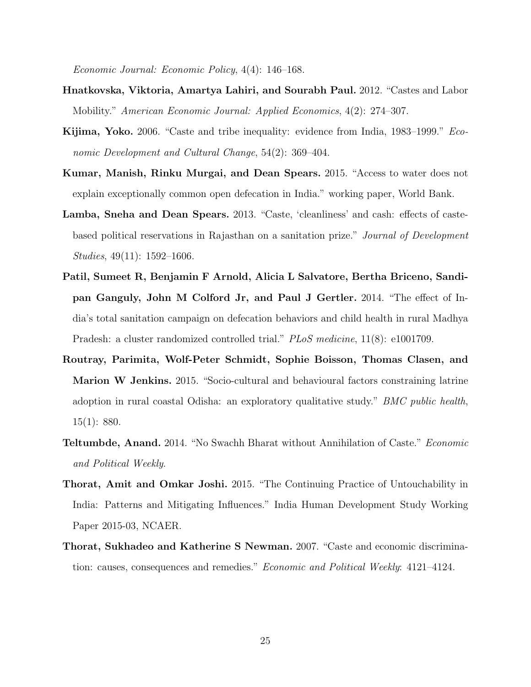Economic Journal: Economic Policy, 4(4): 146–168.

- Hnatkovska, Viktoria, Amartya Lahiri, and Sourabh Paul. 2012. "Castes and Labor Mobility." American Economic Journal: Applied Economics, 4(2): 274–307.
- Kijima, Yoko. 2006. "Caste and tribe inequality: evidence from India, 1983–1999." Economic Development and Cultural Change, 54(2): 369–404.
- Kumar, Manish, Rinku Murgai, and Dean Spears. 2015. "Access to water does not explain exceptionally common open defecation in India." working paper, World Bank.
- Lamba, Sneha and Dean Spears. 2013. "Caste, 'cleanliness' and cash: effects of castebased political reservations in Rajasthan on a sanitation prize." Journal of Development Studies, 49(11): 1592–1606.
- Patil, Sumeet R, Benjamin F Arnold, Alicia L Salvatore, Bertha Briceno, Sandipan Ganguly, John M Colford Jr, and Paul J Gertler. 2014. "The effect of India's total sanitation campaign on defecation behaviors and child health in rural Madhya Pradesh: a cluster randomized controlled trial." PLoS medicine, 11(8): e1001709.
- Routray, Parimita, Wolf-Peter Schmidt, Sophie Boisson, Thomas Clasen, and Marion W Jenkins. 2015. "Socio-cultural and behavioural factors constraining latrine adoption in rural coastal Odisha: an exploratory qualitative study." BMC public health, 15(1): 880.
- **Teltumbde, Anand.** 2014. "No Swachh Bharat without Annihilation of Caste." *Economic* and Political Weekly.
- Thorat, Amit and Omkar Joshi. 2015. "The Continuing Practice of Untouchability in India: Patterns and Mitigating Influences." India Human Development Study Working Paper 2015-03, NCAER.
- Thorat, Sukhadeo and Katherine S Newman. 2007. "Caste and economic discrimination: causes, consequences and remedies." Economic and Political Weekly: 4121–4124.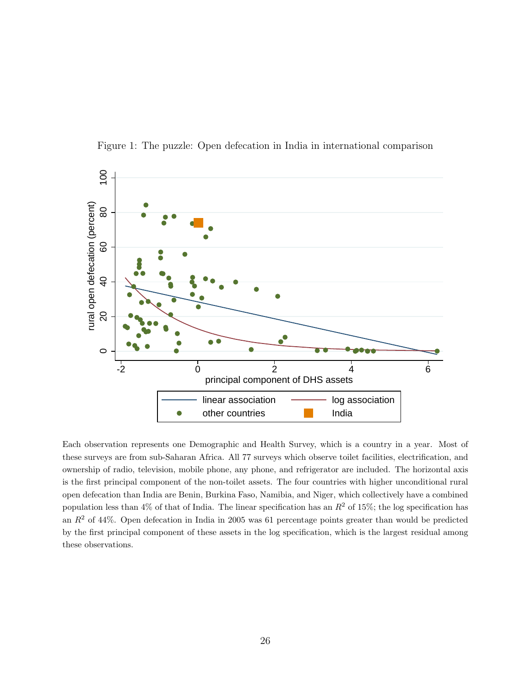

Figure 1: The puzzle: Open defecation in India in international comparison

Each observation represents one Demographic and Health Survey, which is a country in a year. Most of these surveys are from sub-Saharan Africa. All 77 surveys which observe toilet facilities, electrification, and ownership of radio, television, mobile phone, any phone, and refrigerator are included. The horizontal axis is the first principal component of the non-toilet assets. The four countries with higher unconditional rural open defecation than India are Benin, Burkina Faso, Namibia, and Niger, which collectively have a combined population less than 4% of that of India. The linear specification has an  $R^2$  of 15%; the log specification has an  $R<sup>2</sup>$  of 44%. Open defecation in India in 2005 was 61 percentage points greater than would be predicted by the first principal component of these assets in the log specification, which is the largest residual among these observations.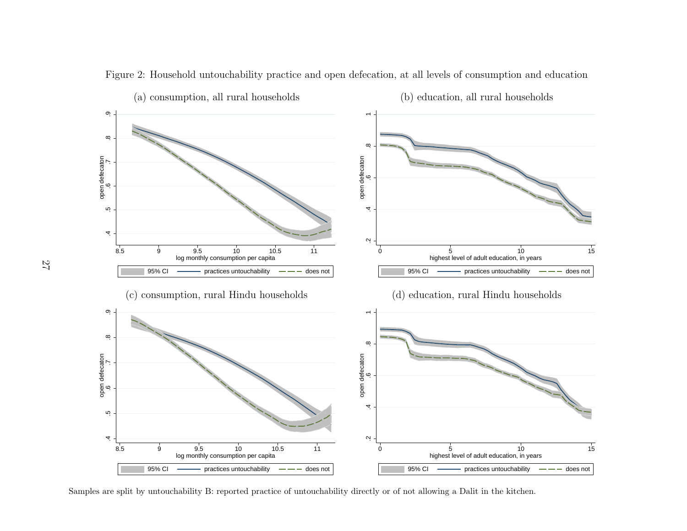

Figure 2: Household untouchability practice and open defecation, at all levels of consumption and education

Samples are split by untouchability B: reported practice of untouchability directly or of not allowing <sup>a</sup> Dalit in the kitchen.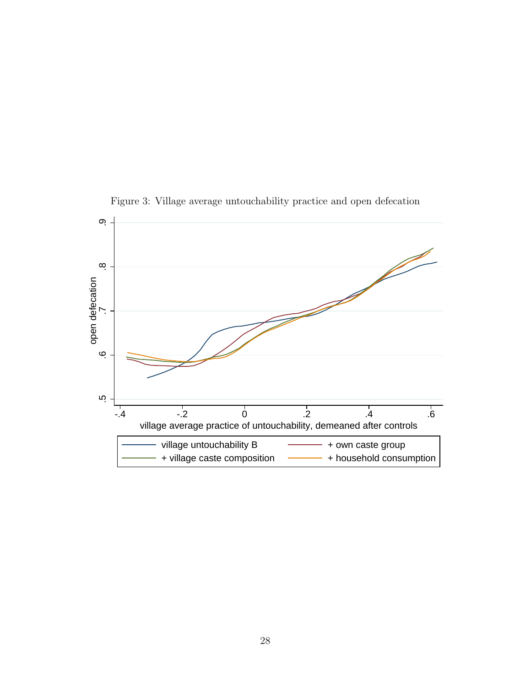

Figure 3: Village average untouchability practice and open defecation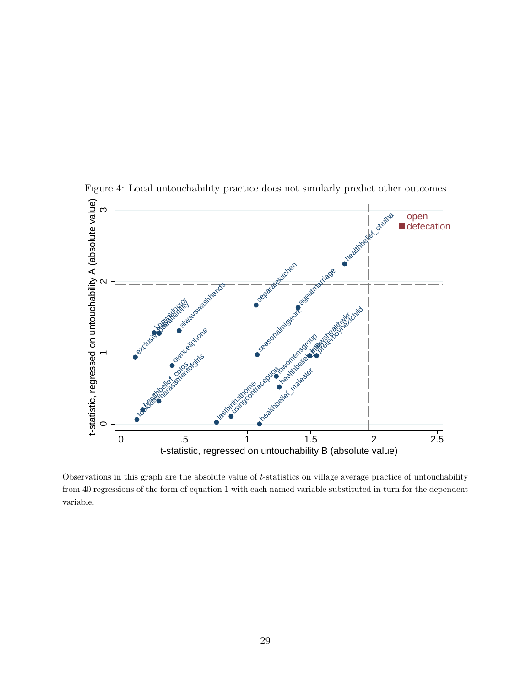

Figure 4: Local untouchability practice does not similarly predict other outcomes

Observations in this graph are the absolute value of t-statistics on village average practice of untouchability from 40 regressions of the form of equation 1 with each named variable substituted in turn for the dependent variable.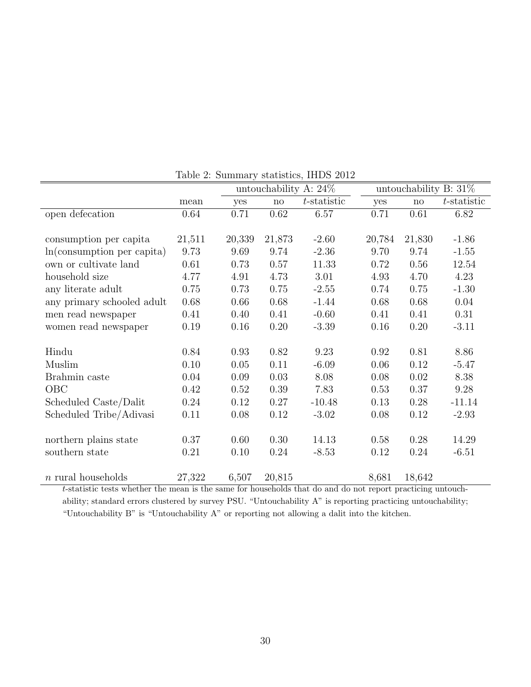|                             | $\mathbf{r}$ and $\mathbf{r}$ . Summary statistics, $\mathbf{r}$ , $\mathbf{r}$ |        |                        |                          |                          |                        |                |  |  |
|-----------------------------|---------------------------------------------------------------------------------|--------|------------------------|--------------------------|--------------------------|------------------------|----------------|--|--|
|                             |                                                                                 |        |                        | untouchability A: $24\%$ | untouchability B: $31\%$ |                        |                |  |  |
|                             | mean                                                                            | yes    | $\mathop{\mathrm{no}}$ | $t$ -statistic           | yes                      | $\mathbf{n}\mathbf{o}$ | $t$ -statistic |  |  |
| open defecation             | 0.64                                                                            | 0.71   | 0.62                   | 6.57                     | 0.71                     | 0.61                   | 6.82           |  |  |
|                             |                                                                                 |        |                        |                          |                          |                        |                |  |  |
| consumption per capita      | 21,511                                                                          | 20,339 | 21,873                 | $-2.60$                  | 20,784                   | 21,830                 | $-1.86$        |  |  |
| In (consumption per capita) | 9.73                                                                            | 9.69   | 9.74                   | $-2.36$                  | 9.70                     | 9.74                   | $-1.55$        |  |  |
| own or cultivate land       | 0.61                                                                            | 0.73   | 0.57                   | 11.33                    | 0.72                     | 0.56                   | 12.54          |  |  |
| household size              | 4.77                                                                            | 4.91   | 4.73                   | 3.01                     | 4.93                     | 4.70                   | 4.23           |  |  |
| any literate adult          | 0.75                                                                            | 0.73   | 0.75                   | $-2.55$                  | 0.74                     | 0.75                   | $-1.30$        |  |  |
| any primary schooled adult  | 0.68                                                                            | 0.66   | 0.68                   | $-1.44$                  | 0.68                     | 0.68                   | 0.04           |  |  |
| men read newspaper          | 0.41                                                                            | 0.40   | 0.41                   | $-0.60$                  | 0.41                     | 0.41                   | 0.31           |  |  |
| women read newspaper        | 0.19                                                                            | 0.16   | 0.20                   | $-3.39$                  | 0.16                     | 0.20                   | $-3.11$        |  |  |
|                             |                                                                                 |        |                        |                          |                          |                        |                |  |  |
| Hindu                       | 0.84                                                                            | 0.93   | 0.82                   | 9.23                     | 0.92                     | 0.81                   | 8.86           |  |  |
| Muslim                      | 0.10                                                                            | 0.05   | 0.11                   | $-6.09$                  | 0.06                     | 0.12                   | $-5.47$        |  |  |
| Brahmin caste               | 0.04                                                                            | 0.09   | 0.03                   | 8.08                     | 0.08                     | 0.02                   | 8.38           |  |  |
| OBC                         | 0.42                                                                            | 0.52   | 0.39                   | 7.83                     | 0.53                     | 0.37                   | 9.28           |  |  |
| Scheduled Caste/Dalit       | $0.24\,$                                                                        | 0.12   | 0.27                   | $-10.48$                 | 0.13                     | 0.28                   | $-11.14$       |  |  |
| Scheduled Tribe/Adivasi     | 0.11                                                                            | 0.08   | 0.12                   | $-3.02$                  | 0.08                     | 0.12                   | $-2.93$        |  |  |
|                             |                                                                                 |        |                        |                          |                          |                        |                |  |  |
| northern plains state       | 0.37                                                                            | 0.60   | 0.30                   | 14.13                    | 0.58                     | 0.28                   | 14.29          |  |  |
| southern state              | 0.21                                                                            | 0.10   | 0.24                   | $-8.53$                  | 0.12                     | 0.24                   | $-6.51$        |  |  |
|                             |                                                                                 |        |                        |                          |                          |                        |                |  |  |
| $n$ rural households        | 27,322                                                                          | 6,507  | 20,815                 |                          | 8,681                    | 18,642                 |                |  |  |

Table 2: Summary statistics, IHDS 2012

t-statistic tests whether the mean is the same for households that do and do not report practicing untouchability; standard errors clustered by survey PSU. "Untouchability A" is reporting practicing untouchability; "Untouchability B" is "Untouchability A" or reporting not allowing a dalit into the kitchen.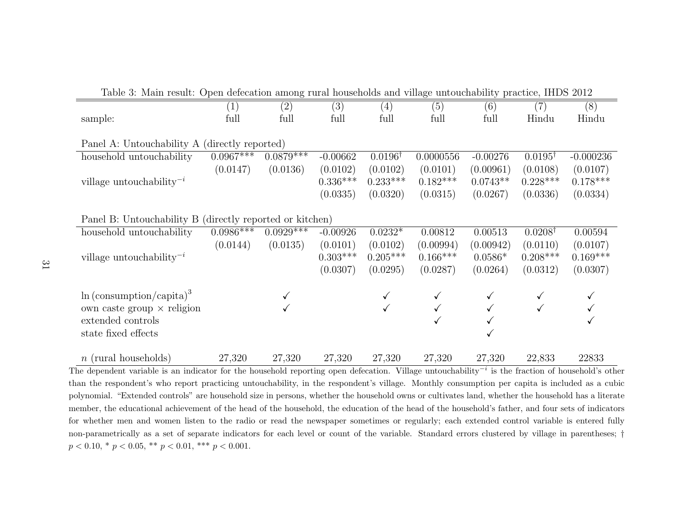| Table 3: Main result: Open defecation among rural households and village untouchability practice, IHDS 2012 |             |             |            |                    |            |            |                    |             |
|-------------------------------------------------------------------------------------------------------------|-------------|-------------|------------|--------------------|------------|------------|--------------------|-------------|
|                                                                                                             | (1)         | (2)         | (3)        | $\left( 4\right)$  | (5)        | (6)        | (7)                | (8)         |
| sample:                                                                                                     | full        | full        | full       | full               | full       | full       | Hindu              | Hindu       |
|                                                                                                             |             |             |            |                    |            |            |                    |             |
| Panel A: Untouchability A (directly reported)                                                               |             |             |            |                    |            |            |                    |             |
| household untouchability                                                                                    | $0.0967***$ | $0.0879***$ | $-0.00662$ | $0.0196^{\dagger}$ | 0.0000556  | $-0.00276$ | $0.0195^{\dagger}$ | $-0.000236$ |
|                                                                                                             | (0.0147)    | (0.0136)    | (0.0102)   | (0.0102)           | (0.0101)   | (0.00961)  | (0.0108)           | (0.0107)    |
| village untouchability <sup><math>-i</math></sup>                                                           |             |             | $0.336***$ | $0.233***$         | $0.182***$ | $0.0743**$ | $0.228***$         | $0.178***$  |
|                                                                                                             |             |             | (0.0335)   | (0.0320)           | (0.0315)   | (0.0267)   | (0.0336)           | (0.0334)    |
|                                                                                                             |             |             |            |                    |            |            |                    |             |
| Panel B: Untouchability B (directly reported or kitchen)                                                    |             |             |            |                    |            |            |                    |             |
| household untouchability                                                                                    | $0.0986***$ | $0.0929***$ | $-0.00926$ | $0.0232*$          | 0.00812    | 0.00513    | $0.0208^{\dagger}$ | 0.00594     |
|                                                                                                             | (0.0144)    | (0.0135)    | (0.0101)   | (0.0102)           | (0.00994)  | (0.00942)  | (0.0110)           | (0.0107)    |
| village untouchability <sup><math>-i</math></sup>                                                           |             |             | $0.303***$ | $0.205***$         | $0.166***$ | $0.0586*$  | $0.208***$         | $0.169***$  |
|                                                                                                             |             |             | (0.0307)   | (0.0295)           | (0.0287)   | (0.0264)   | (0.0312)           | (0.0307)    |
|                                                                                                             |             |             |            |                    |            |            |                    |             |
| $\ln$ (consumption/capita) <sup>3</sup>                                                                     |             |             |            |                    |            |            |                    |             |
| own caste group $\times$ religion                                                                           |             |             |            |                    |            |            | $\checkmark$       |             |
| extended controls                                                                                           |             |             |            |                    |            |            |                    |             |
| state fixed effects                                                                                         |             |             |            |                    |            |            |                    |             |
|                                                                                                             |             |             |            |                    |            |            |                    |             |
| $n$ (rural households)                                                                                      | 27,320      | 27,320      | 27,320     | 27,320             | 27,320     | 27,320     | 22,833             | 22833       |

The dependent variable is an indicator for the household reporting open defecation. Village untouchability<sup> $-i$ </sup> is the fraction of household's other than the respondent's who report practicing untouchability, in the respondent's village. Monthly consumption per capita is included as <sup>a</sup> cubic polynomial. "Extended controls" are household size in persons, whether the household owns or cultivates land, whether the household has <sup>a</sup> literate member, the educational achievement of the head of the household, the education of the head of the household's father, and four sets of indicators for whether men and women listen to the radio or read the newspaper sometimes or regularly; each extended control variable is entered fully non-parametrically as <sup>a</sup> set of separate indicators for each level or count of the variable. Standard errors clustered by village in parentheses; †  $p < 0.10, * p < 0.05, ** p < 0.01, *** p < 0.001.$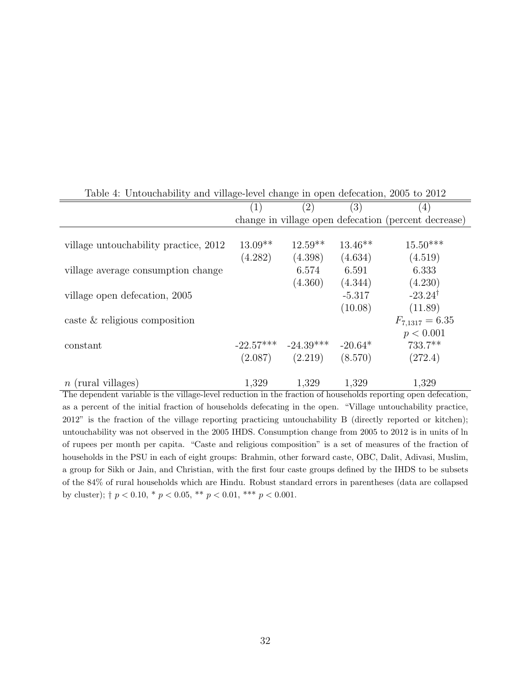| Table 4. Ontouchability and vinage-icvel change in open delection, 2000 to 2012           |                          |                           |              |                                                                 |  |  |  |
|-------------------------------------------------------------------------------------------|--------------------------|---------------------------|--------------|-----------------------------------------------------------------|--|--|--|
|                                                                                           | (3)<br>(2)<br>(4)<br>(1) |                           |              |                                                                 |  |  |  |
|                                                                                           |                          |                           |              | change in village open defecation (percent decrease)            |  |  |  |
|                                                                                           |                          |                           |              |                                                                 |  |  |  |
| village untouchability practice, 2012                                                     | $13.09**$                | $12.59**$                 | $13.46**$    | $15.50***$                                                      |  |  |  |
|                                                                                           | (4.282)                  | (4.398)                   | (4.634)      | (4.519)                                                         |  |  |  |
| village average consumption change                                                        |                          | 6.574                     | 6.591        | 6.333                                                           |  |  |  |
|                                                                                           |                          | (4.360)                   | (4.344)      | (4.230)                                                         |  |  |  |
| village open defecation, 2005                                                             |                          |                           | $-5.317$     | $-23.24^{\dagger}$                                              |  |  |  |
|                                                                                           |                          |                           | (10.08)      | (11.89)                                                         |  |  |  |
| caste $&$ religious composition                                                           |                          |                           |              | $F_{7,1317} = 6.35$                                             |  |  |  |
|                                                                                           |                          |                           |              | p < 0.001                                                       |  |  |  |
| constant                                                                                  |                          | $-22.57***$ $-24.39***$   | $-20.64*$    | 733.7**                                                         |  |  |  |
|                                                                                           |                          | $(2.087)$ $(2.219)$       | (8.570)      | (272.4)                                                         |  |  |  |
|                                                                                           |                          |                           |              |                                                                 |  |  |  |
| $n$ (rural villages)<br>$\sqrt{1}$ 1 1 $\sqrt{1}$ 1 $\sqrt{1}$ 1 $\sqrt{1}$<br>$\cdot$ 11 | 1,329<br>$\blacksquare$  | 1,329<br>$\mathfrak{c}$ 1 | 1,329<br>111 | 1,329<br>$\mathbf{r}$<br>$\mathbf{1}$ $\mathbf{c}$ $\mathbf{r}$ |  |  |  |

Table 4: Untouchability and village-level change in open defecation, 2005 to 2012

The dependent variable is the village-level reduction in the fraction of households reporting open defecation, as a percent of the initial fraction of households defecating in the open. "Village untouchability practice, 2012" is the fraction of the village reporting practicing untouchability B (directly reported or kitchen); untouchability was not observed in the 2005 IHDS. Consumption change from 2005 to 2012 is in units of ln of rupees per month per capita. "Caste and religious composition" is a set of measures of the fraction of households in the PSU in each of eight groups: Brahmin, other forward caste, OBC, Dalit, Adivasi, Muslim, a group for Sikh or Jain, and Christian, with the first four caste groups defined by the IHDS to be subsets of the 84% of rural households which are Hindu. Robust standard errors in parentheses (data are collapsed by cluster);  $\dagger$   $p < 0.10$ ,  $*$   $p < 0.05$ ,  $**$   $p < 0.01$ ,  $***$   $p < 0.001$ .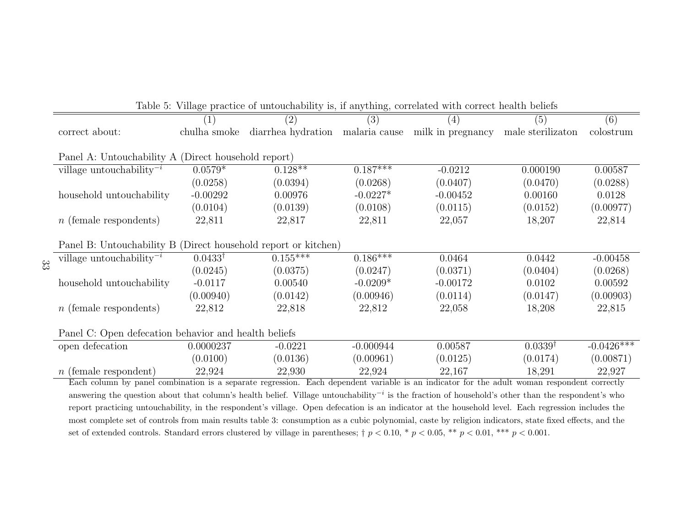| Table 5: Village practice of untouchability is, if anything, correlated with correct health beliefs |                    |                                                    |             |            |                    |                         |  |
|-----------------------------------------------------------------------------------------------------|--------------------|----------------------------------------------------|-------------|------------|--------------------|-------------------------|--|
|                                                                                                     |                    | (2)                                                | (3)         | (4)        | (5)                | (6)                     |  |
| correct about:                                                                                      | chulha smoke       | diarrhea hydration malaria cause milk in pregnancy |             |            | male sterilizaton  | colostrum               |  |
| Panel A: Untouchability A (Direct household report)                                                 |                    |                                                    |             |            |                    |                         |  |
| village untouchability <sup>-i</sup>                                                                | $0.0579*$          | $0.128**$                                          | $0.187***$  | $-0.0212$  | 0.000190           | 0.00587                 |  |
|                                                                                                     | (0.0258)           | (0.0394)                                           | (0.0268)    | (0.0407)   | (0.0470)           | (0.0288)                |  |
| household untouchability                                                                            | $-0.00292$         | 0.00976                                            | $-0.0227*$  | $-0.00452$ | 0.00160            | 0.0128                  |  |
|                                                                                                     | (0.0104)           | (0.0139)                                           | (0.0108)    | (0.0115)   | (0.0152)           | (0.00977)               |  |
| $n$ (female respondents)                                                                            | 22,811             | 22,817                                             | 22,811      | 22,057     | 18,207             | 22,814                  |  |
| Panel B: Untouchability B (Direct household report or kitchen)                                      |                    |                                                    |             |            |                    |                         |  |
| village untouchability <sup><math>-i</math></sup><br>33                                             | $0.0433^{\dagger}$ | $0.155***$                                         | $0.186***$  | 0.0464     | 0.0442             | $-0.00458$              |  |
|                                                                                                     | (0.0245)           | (0.0375)                                           | (0.0247)    | (0.0371)   | (0.0404)           | (0.0268)                |  |
| household untouchability                                                                            | $-0.0117$          | 0.00540                                            | $-0.0209*$  | $-0.00172$ | 0.0102             | 0.00592                 |  |
|                                                                                                     | (0.00940)          | (0.0142)                                           | (0.00946)   | (0.0114)   | (0.0147)           | (0.00903)               |  |
| $n$ (female respondents)                                                                            | 22,812             | 22,818                                             | 22,812      | 22,058     | 18,208             | 22,815                  |  |
| Panel C: Open defecation behavior and health beliefs                                                |                    |                                                    |             |            |                    |                         |  |
| open defecation                                                                                     | 0.0000237          | $-0.0221$                                          | $-0.000944$ | 0.00587    | $0.0339^{\dagger}$ | $-0.042\overline{6***}$ |  |
|                                                                                                     | (0.0100)           | (0.0136)                                           | (0.00961)   | (0.0125)   | (0.0174)           | (0.00871)               |  |
| $n$ (female respondent)                                                                             | 22,924             | 22,930                                             | 22,924      | 22,167     | 18,291             | 22,927                  |  |

Each column by panel combination is a separate regression. Each dependent variable is an indicator for the adult woman respondent correctly answering the question about that column's health belief. Village untouchability<sup></sup> report practicing untouchability, in the respondent's village. Open defecation is an indicator at the household level. Each regression includes the most complete set of controls from main results table 3: consumption as <sup>a</sup> cubic polynomial, caste by religion indicators, state fixed effects, and the set of extended controls. Standard errors clustered by village in parentheses;  $\dagger$   $p$  < 0.10, \*  $p$  < 0.05, \*\*  $p$  < 0.01, \*\*\*  $p$  < 0.001.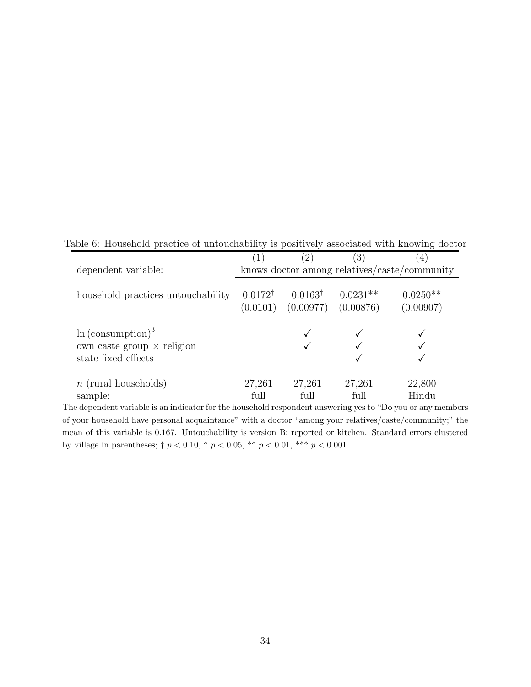Table 6: Household practice of untouchability is positively associated with knowing doctor

|                                                                                              | (1)                | (2)                                                      | $\left( 3\right)$ |                                              |
|----------------------------------------------------------------------------------------------|--------------------|----------------------------------------------------------|-------------------|----------------------------------------------|
| dependent variable:                                                                          |                    |                                                          |                   | knows doctor among relatives/caste/community |
| household practices untouchability                                                           | $0.0172^{\dagger}$ | $0.0163^{\dagger}$<br>$(0.0101)$ $(0.00977)$ $(0.00876)$ | $0.0231**$        | $0.0250**$<br>(0.00907)                      |
| $\ln$ (consumption) <sup>3</sup><br>own caste group $\times$ religion<br>state fixed effects |                    |                                                          |                   |                                              |
| $n$ (rural households)<br>sample:                                                            | 27,261<br>full     | 27,261<br>full                                           | 27,261<br>full    | 22,800<br>Hindu                              |

The dependent variable is an indicator for the household respondent answering yes to "Do you or any members of your household have personal acquaintance" with a doctor "among your relatives/caste/community;" the mean of this variable is 0.167. Untouchability is version B: reported or kitchen. Standard errors clustered by village in parentheses;  $\dagger$   $p$  < 0.10, \*  $p$  < 0.05, \*\*  $p$  < 0.01, \*\*\*  $p$  < 0.001.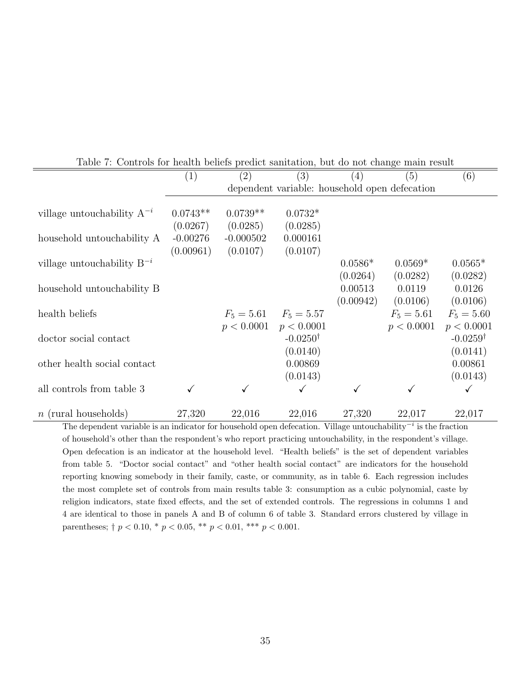|                                 |            |                                               | Table 1. Controls for health beliefs predict saliffation, but do not change main result |           |              |                     |  |  |  |  |  |
|---------------------------------|------------|-----------------------------------------------|-----------------------------------------------------------------------------------------|-----------|--------------|---------------------|--|--|--|--|--|
|                                 | (1)        | (2)                                           | (3)                                                                                     | (4)       | (5)          | (6)                 |  |  |  |  |  |
|                                 |            | dependent variable: household open defecation |                                                                                         |           |              |                     |  |  |  |  |  |
|                                 |            |                                               |                                                                                         |           |              |                     |  |  |  |  |  |
| village untouchability $A^{-i}$ | $0.0743**$ | $0.0739**$                                    | $0.0732*$                                                                               |           |              |                     |  |  |  |  |  |
|                                 | (0.0267)   | (0.0285)                                      | (0.0285)                                                                                |           |              |                     |  |  |  |  |  |
| household untouchability A      | $-0.00276$ | $-0.000502$                                   | 0.000161                                                                                |           |              |                     |  |  |  |  |  |
|                                 | (0.00961)  | (0.0107)                                      | (0.0107)                                                                                |           |              |                     |  |  |  |  |  |
| village untouchability $B^{-i}$ |            |                                               |                                                                                         | $0.0586*$ | $0.0569*$    | $0.0565*$           |  |  |  |  |  |
|                                 |            |                                               |                                                                                         | (0.0264)  | (0.0282)     | (0.0282)            |  |  |  |  |  |
| household untouchability B      |            |                                               |                                                                                         | 0.00513   | 0.0119       | 0.0126              |  |  |  |  |  |
|                                 |            |                                               |                                                                                         | (0.00942) | (0.0106)     | (0.0106)            |  |  |  |  |  |
| health beliefs                  |            |                                               | $F_5 = 5.61$ $F_5 = 5.57$                                                               |           | $F_5 = 5.61$ | $F_5 = 5.60$        |  |  |  |  |  |
|                                 |            | p < 0.0001                                    | p < 0.0001                                                                              |           | p < 0.0001   | p < 0.0001          |  |  |  |  |  |
| doctor social contact           |            |                                               | $-0.0250^{\dagger}$                                                                     |           |              | $-0.0259^{\dagger}$ |  |  |  |  |  |
|                                 |            |                                               | (0.0140)                                                                                |           |              | (0.0141)            |  |  |  |  |  |
| other health social contact     |            |                                               | 0.00869                                                                                 |           |              | 0.00861             |  |  |  |  |  |
|                                 |            |                                               | (0.0143)                                                                                |           |              | (0.0143)            |  |  |  |  |  |
| all controls from table 3       | ✓          |                                               | $\checkmark$                                                                            |           |              | ✓                   |  |  |  |  |  |
|                                 |            |                                               |                                                                                         |           |              |                     |  |  |  |  |  |
| $n$ (rural households)          | 27,320     | 22,016                                        | 22,016                                                                                  | 27,320    | 22,017       | 22,017              |  |  |  |  |  |

Table 7: Controls for health beliefs predict sanitation, but do not change main result

The dependent variable is an indicator for household open defecation. Village untouchability<sup> $-i$ </sup> is the fraction of household's other than the respondent's who report practicing untouchability, in the respondent's village. Open defecation is an indicator at the household level. "Health beliefs" is the set of dependent variables from table 5. "Doctor social contact" and "other health social contact" are indicators for the household reporting knowing somebody in their family, caste, or community, as in table 6. Each regression includes the most complete set of controls from main results table 3: consumption as a cubic polynomial, caste by religion indicators, state fixed effects, and the set of extended controls. The regressions in columns 1 and 4 are identical to those in panels A and B of column 6 of table 3. Standard errors clustered by village in parentheses;  $\uparrow p < 0.10$ ,  $\ast p < 0.05$ ,  $\ast \ast p < 0.01$ ,  $\ast \ast \ast p < 0.001$ .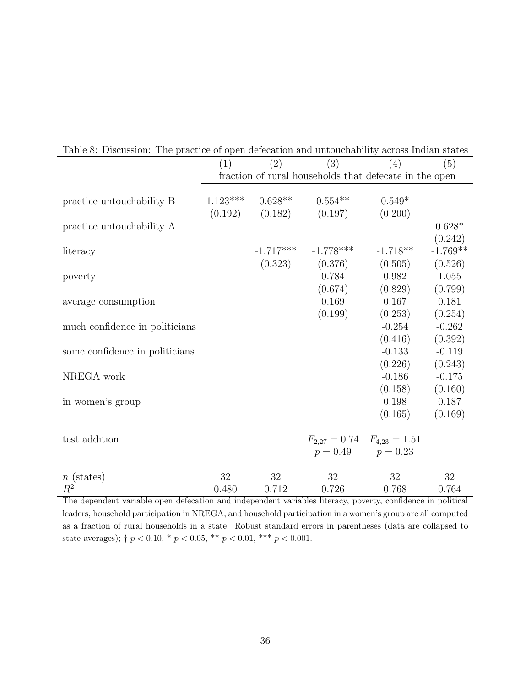|                                | (1)                                                    | (2)         | (3)                                 | (4)        | (5)        |  |  |
|--------------------------------|--------------------------------------------------------|-------------|-------------------------------------|------------|------------|--|--|
|                                | fraction of rural households that defecate in the open |             |                                     |            |            |  |  |
|                                |                                                        |             |                                     |            |            |  |  |
| practice untouchability B      | $1.123***$                                             | $0.628**$   | $0.554**$                           | $0.549*$   |            |  |  |
|                                | (0.192)                                                | (0.182)     | (0.197)                             | (0.200)    |            |  |  |
| practice untouchability A      |                                                        |             |                                     |            | $0.628*$   |  |  |
|                                |                                                        |             |                                     |            | (0.242)    |  |  |
| literacy                       |                                                        | $-1.717***$ | $-1.778***$                         | $-1.718**$ | $-1.769**$ |  |  |
|                                |                                                        |             | $(0.323)$ $(0.376)$                 | (0.505)    | (0.526)    |  |  |
| poverty                        |                                                        |             | 0.784                               | 0.982      | 1.055      |  |  |
|                                |                                                        |             | (0.674)                             | (0.829)    | (0.799)    |  |  |
| average consumption            |                                                        |             | 0.169                               | 0.167      | 0.181      |  |  |
|                                |                                                        |             | (0.199)                             | (0.253)    | (0.254)    |  |  |
| much confidence in politicians |                                                        |             |                                     | $-0.254$   | $-0.262$   |  |  |
|                                |                                                        |             |                                     | (0.416)    | (0.392)    |  |  |
| some confidence in politicians |                                                        |             |                                     | $-0.133$   | $-0.119$   |  |  |
|                                |                                                        |             |                                     | (0.226)    | (0.243)    |  |  |
| NREGA work                     |                                                        |             |                                     | $-0.186$   | $-0.175$   |  |  |
|                                |                                                        |             |                                     | (0.158)    | (0.160)    |  |  |
| in women's group               |                                                        |             |                                     | 0.198      | 0.187      |  |  |
|                                |                                                        |             |                                     | (0.165)    | (0.169)    |  |  |
|                                |                                                        |             |                                     |            |            |  |  |
| test addition                  |                                                        |             | $F_{2,27} = 0.74$ $F_{4,23} = 1.51$ |            |            |  |  |
|                                |                                                        |             | $p = 0.49$ $p = 0.23$               |            |            |  |  |
| $n$ (states)                   | 32                                                     | 32          | 32                                  | 32         | 32         |  |  |
| $R^2$                          | 0.480                                                  | 0.712       | 0.726                               | 0.768      | 0.764      |  |  |
|                                |                                                        |             |                                     |            |            |  |  |

Table 8: Discussion: The practice of open defecation and untouchability across Indian states

The dependent variable open defecation and independent variables literacy, poverty, confidence in political leaders, household participation in NREGA, and household participation in a women's group are all computed as a fraction of rural households in a state. Robust standard errors in parentheses (data are collapsed to state averages);  $\dagger p < 0.10$ ,  $* p < 0.05$ ,  $** p < 0.01$ ,  $*** p < 0.001$ .